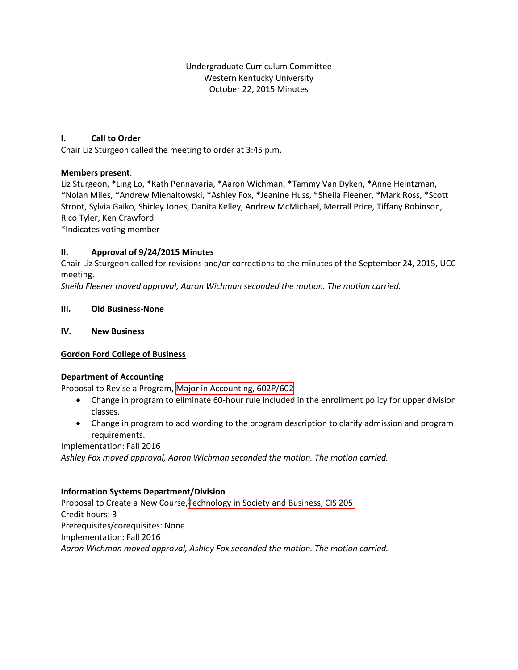Undergraduate Curriculum Committee Western Kentucky University October 22, 2015 Minutes

#### **I. Call to Order**

Chair Liz Sturgeon called the meeting to order at 3:45 p.m.

#### **Members present**:

Liz Sturgeon, \*Ling Lo, \*Kath Pennavaria, \*Aaron Wichman, \*Tammy Van Dyken, \*Anne Heintzman, \*Nolan Miles, \*Andrew Mienaltowski, \*Ashley Fox, \*Jeanine Huss, \*Sheila Fleener, \*Mark Ross, \*Scott Stroot, Sylvia Gaiko, Shirley Jones, Danita Kelley, Andrew McMichael, Merrall Price, Tiffany Robinson, Rico Tyler, Ken Crawford

\*Indicates voting member

#### **II. Approval of 9/24/2015 Minutes**

Chair Liz Sturgeon called for revisions and/or corrections to the minutes of the September 24, 2015, UCC meeting.

*Sheila Fleener moved approval, Aaron Wichman seconded the motion. The motion carried.*

#### **III. Old Business-None**

#### **IV. New Business**

#### **Gordon Ford College of Business**

#### **Department of Accounting**

Proposal to Revise a Program, [Major in Accounting, 602P/602](#page-3-0)

- Change in program to eliminate 60-hour rule included in the enrollment policy for upper division classes.
- Change in program to add wording to the program description to clarify admission and program requirements.

#### Implementation: Fall 2016

*Ashley Fox moved approval, Aaron Wichman seconded the motion. The motion carried.*

#### **Information Systems Department/Division**

Proposal to Create a New Course,Te[chnology in Society and Business, CIS 205](#page-6-0) Credit hours: 3 Prerequisites/corequisites: None Implementation: Fall 2016 *Aaron Wichman moved approval, Ashley Fox seconded the motion. The motion carried.*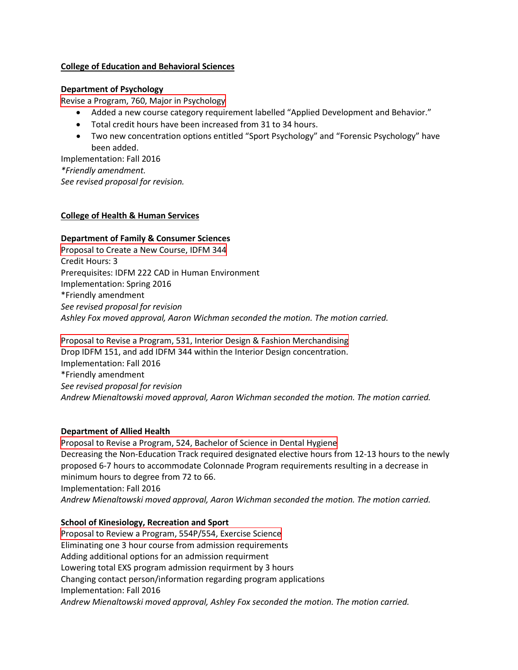#### **College of Education and Behavioral Sciences**

#### **Department of Psychology**

[Revise a Program, 760, Major in Psychology](#page-11-0)

- Added a new course category requirement labelled "Applied Development and Behavior."
- Total credit hours have been increased from 31 to 34 hours.
- Two new concentration options entitled "Sport Psychology" and "Forensic Psychology" have been added.

Implementation: Fall 2016 *\*Friendly amendment. See revised proposal for revision.*

#### **College of Health & Human Services**

#### **Department of Family & Consumer Sciences**

[Proposal to Create a New Course, IDFM 344](#page-15-0) Credit Hours: 3 Prerequisites: IDFM 222 CAD in Human Environment Implementation: Spring 2016 \*Friendly amendment *See revised proposal for revision Ashley Fox moved approval, Aaron Wichman seconded the motion. The motion carried.*

[Proposal to Revise a Program, 531, Interior Design & Fashion Merchandising](#page-18-0) Drop IDFM 151, and add IDFM 344 within the Interior Design concentration. Implementation: Fall 2016 \*Friendly amendment *See revised proposal for revision Andrew Mienaltowski moved approval, Aaron Wichman seconded the motion. The motion carried.*

## **Department of Allied Health**

[Proposal to Revise a Program, 524, Bachelor of Science in Dental Hygiene](#page-25-0) Decreasing the Non-Education Track required designated elective hours from 12-13 hours to the newly proposed 6-7 hours to accommodate Colonnade Program requirements resulting in a decrease in minimum hours to degree from 72 to 66. Implementation: Fall 2016 *Andrew Mienaltowski moved approval, Aaron Wichman seconded the motion. The motion carried.*

## **School of Kinesiology, Recreation and Sport**

[Proposal to Review a Program, 554P/554, Exercise Science](#page-25-0) Eliminating one 3 hour course from admission requirements Adding additional options for an admission requirment Lowering total EXS program admission requirment by 3 hours Changing contact person/information regarding program applications Implementation: Fall 2016 *Andrew Mienaltowski moved approval, Ashley Fox seconded the motion. The motion carried.*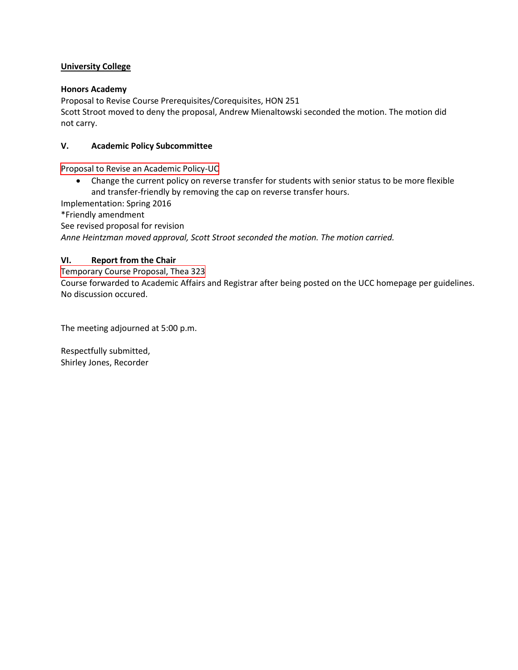#### **University College**

#### **Honors Academy**

Proposal to Revise Course Prerequisites/Corequisites, HON 251 Scott Stroot moved to deny the proposal, Andrew Mienaltowski seconded the motion. The motion did not carry.

#### **V. Academic Policy Subcommittee**

[Proposal to Revise an Academic Policy-UC](#page-29-0) 

• Change the current policy on reverse transfer for students with senior status to be more flexible and transfer-friendly by removing the cap on reverse transfer hours.

Implementation: Spring 2016

\*Friendly amendment

See revised proposal for revision

*Anne Heintzman moved approval, Scott Stroot seconded the motion. The motion carried.*

#### **VI. Report from the Chair**

[Temporary Course Proposal, Thea 323](#page-31-0) Course forwarded to Academic Affairs and Registrar after being posted on the UCC homepage per guidelines. No discussion occured.

The meeting adjourned at 5:00 p.m.

Respectfully submitted, Shirley Jones, Recorder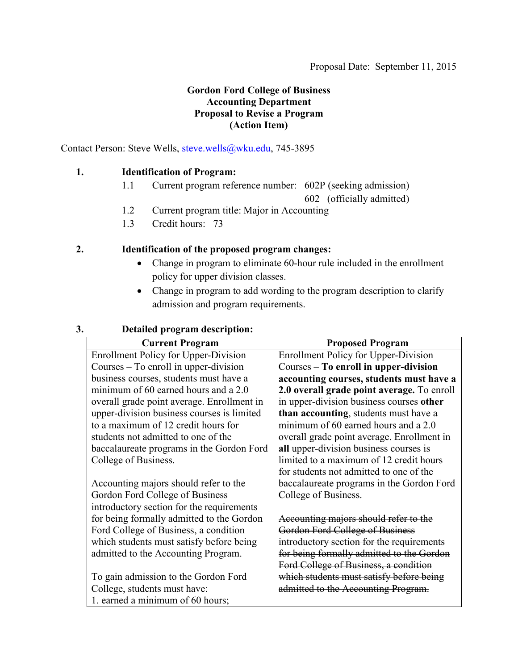## **Gordon Ford College of Business Accounting Department Proposal to Revise a Program (Action Item)**

<span id="page-3-0"></span>Contact Person: Steve Wells, [steve.wells@wku.edu,](mailto:steve.wells@wku.edu) 745-3895

## **1. Identification of Program:**

1.1 Current program reference number: 602P (seeking admission)

602 (officially admitted)

- 1.2 Current program title: Major in Accounting
- 1.3 Credit hours: 73

## **2. Identification of the proposed program changes:**

- Change in program to eliminate 60-hour rule included in the enrollment policy for upper division classes.
- Change in program to add wording to the program description to clarify admission and program requirements.

## **3. Detailed program description:**

| <b>Current Program</b>                      | <b>Proposed Program</b>                     |
|---------------------------------------------|---------------------------------------------|
| <b>Enrollment Policy for Upper-Division</b> | <b>Enrollment Policy for Upper-Division</b> |
| Courses $-$ To enroll in upper-division     | Courses – To enroll in upper-division       |
| business courses, students must have a      | accounting courses, students must have a    |
| minimum of 60 earned hours and a 2.0        | 2.0 overall grade point average. To enroll  |
| overall grade point average. Enrollment in  | in upper-division business courses other    |
| upper-division business courses is limited  | than accounting, students must have a       |
| to a maximum of 12 credit hours for         | minimum of 60 earned hours and a 2.0        |
| students not admitted to one of the         | overall grade point average. Enrollment in  |
| baccalaureate programs in the Gordon Ford   | all upper-division business courses is      |
| College of Business.                        | limited to a maximum of 12 credit hours     |
|                                             | for students not admitted to one of the     |
| Accounting majors should refer to the       | baccalaureate programs in the Gordon Ford   |
| Gordon Ford College of Business             | College of Business.                        |
| introductory section for the requirements   |                                             |
| for being formally admitted to the Gordon   | Accounting majors should refer to the       |
| Ford College of Business, a condition       | Gordon Ford College of Business             |
| which students must satisfy before being    | introductory section for the requirements   |
| admitted to the Accounting Program.         | for being formally admitted to the Gordon   |
|                                             | Ford College of Business, a condition       |
| To gain admission to the Gordon Ford        | which students must satisfy before being    |
| College, students must have:                | admitted to the Accounting Program.         |
| 1. earned a minimum of 60 hours;            |                                             |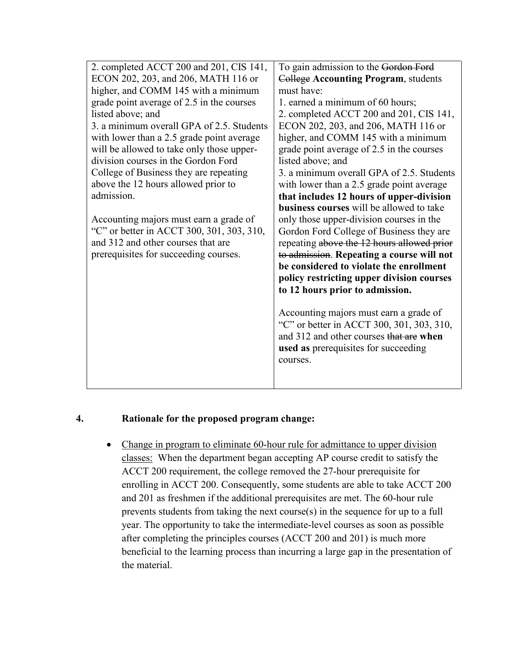| 2. completed ACCT 200 and 201, CIS 141,   | To gain admission to the Gordon Ford        |
|-------------------------------------------|---------------------------------------------|
| ECON 202, 203, and 206, MATH 116 or       | <b>College Accounting Program, students</b> |
| higher, and COMM 145 with a minimum       | must have:                                  |
| grade point average of 2.5 in the courses | 1. earned a minimum of 60 hours;            |
| listed above; and                         | 2. completed ACCT 200 and 201, CIS 141,     |
| 3. a minimum overall GPA of 2.5. Students | ECON 202, 203, and 206, MATH 116 or         |
| with lower than a 2.5 grade point average | higher, and COMM 145 with a minimum         |
| will be allowed to take only those upper- | grade point average of 2.5 in the courses   |
| division courses in the Gordon Ford       | listed above; and                           |
| College of Business they are repeating    | 3. a minimum overall GPA of 2.5. Students   |
| above the 12 hours allowed prior to       | with lower than a 2.5 grade point average   |
| admission.                                | that includes 12 hours of upper-division    |
|                                           | business courses will be allowed to take    |
| Accounting majors must earn a grade of    | only those upper-division courses in the    |
| "C" or better in ACCT 300, 301, 303, 310, | Gordon Ford College of Business they are    |
| and 312 and other courses that are        | repeating above the 12 hours allowed prior  |
| prerequisites for succeeding courses.     | to admission. Repeating a course will not   |
|                                           | be considered to violate the enrollment     |
|                                           | policy restricting upper division courses   |
|                                           | to 12 hours prior to admission.             |
|                                           |                                             |
|                                           | Accounting majors must earn a grade of      |
|                                           | "C" or better in ACCT 300, 301, 303, 310,   |
|                                           | and 312 and other courses that are when     |
|                                           | used as prerequisites for succeeding        |
|                                           | courses.                                    |
|                                           |                                             |
|                                           |                                             |

## **4. Rationale for the proposed program change:**

• Change in program to eliminate 60-hour rule for admittance to upper division classes: When the department began accepting AP course credit to satisfy the ACCT 200 requirement, the college removed the 27-hour prerequisite for enrolling in ACCT 200. Consequently, some students are able to take ACCT 200 and 201 as freshmen if the additional prerequisites are met. The 60-hour rule prevents students from taking the next course(s) in the sequence for up to a full year. The opportunity to take the intermediate-level courses as soon as possible after completing the principles courses (ACCT 200 and 201) is much more beneficial to the learning process than incurring a large gap in the presentation of the material.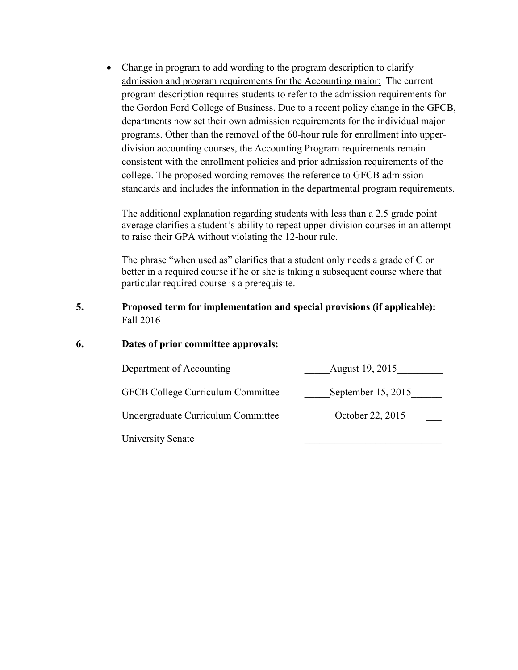• Change in program to add wording to the program description to clarify admission and program requirements for the Accounting major: The current program description requires students to refer to the admission requirements for the Gordon Ford College of Business. Due to a recent policy change in the GFCB, departments now set their own admission requirements for the individual major programs. Other than the removal of the 60-hour rule for enrollment into upperdivision accounting courses, the Accounting Program requirements remain consistent with the enrollment policies and prior admission requirements of the college. The proposed wording removes the reference to GFCB admission standards and includes the information in the departmental program requirements.

The additional explanation regarding students with less than a 2.5 grade point average clarifies a student's ability to repeat upper-division courses in an attempt to raise their GPA without violating the 12-hour rule.

The phrase "when used as" clarifies that a student only needs a grade of C or better in a required course if he or she is taking a subsequent course where that particular required course is a prerequisite.

- **5. Proposed term for implementation and special provisions (if applicable):**  Fall 2016
- **6. Dates of prior committee approvals:**

| Department of Accounting                 | August 19, 2015    |
|------------------------------------------|--------------------|
| <b>GFCB College Curriculum Committee</b> | September 15, 2015 |
| Undergraduate Curriculum Committee       | October 22, 2015   |
| <b>University Senate</b>                 |                    |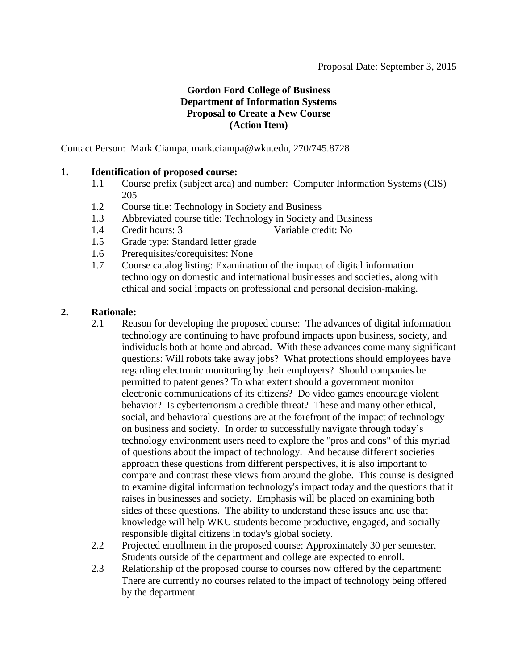## **Gordon Ford College of Business Department of Information Systems Proposal to Create a New Course (Action Item)**

<span id="page-6-0"></span>Contact Person: Mark Ciampa, mark.ciampa@wku.edu, 270/745.8728

## **1. Identification of proposed course:**

- 1.1 Course prefix (subject area) and number: Computer Information Systems (CIS) 205
- 1.2 Course title: Technology in Society and Business
- 1.3 Abbreviated course title: Technology in Society and Business
- 1.4 Credit hours: 3 Variable credit: No
- 1.5 Grade type: Standard letter grade
- 1.6 Prerequisites/corequisites: None
- 1.7 Course catalog listing: Examination of the impact of digital information technology on domestic and international businesses and societies, along with ethical and social impacts on professional and personal decision-making.

## **2. Rationale:**

- 2.1 Reason for developing the proposed course: The advances of digital information technology are continuing to have profound impacts upon business, society, and individuals both at home and abroad. With these advances come many significant questions: Will robots take away jobs? What protections should employees have regarding electronic monitoring by their employers? Should companies be permitted to patent genes? To what extent should a government monitor electronic communications of its citizens? Do video games encourage violent behavior? Is cyberterrorism a credible threat? These and many other ethical, social, and behavioral questions are at the forefront of the impact of technology on business and society. In order to successfully navigate through today's technology environment users need to explore the "pros and cons" of this myriad of questions about the impact of technology. And because different societies approach these questions from different perspectives, it is also important to compare and contrast these views from around the globe. This course is designed to examine digital information technology's impact today and the questions that it raises in businesses and society. Emphasis will be placed on examining both sides of these questions. The ability to understand these issues and use that knowledge will help WKU students become productive, engaged, and socially responsible digital citizens in today's global society.
- 2.2 Projected enrollment in the proposed course: Approximately 30 per semester. Students outside of the department and college are expected to enroll.
- 2.3 Relationship of the proposed course to courses now offered by the department: There are currently no courses related to the impact of technology being offered by the department.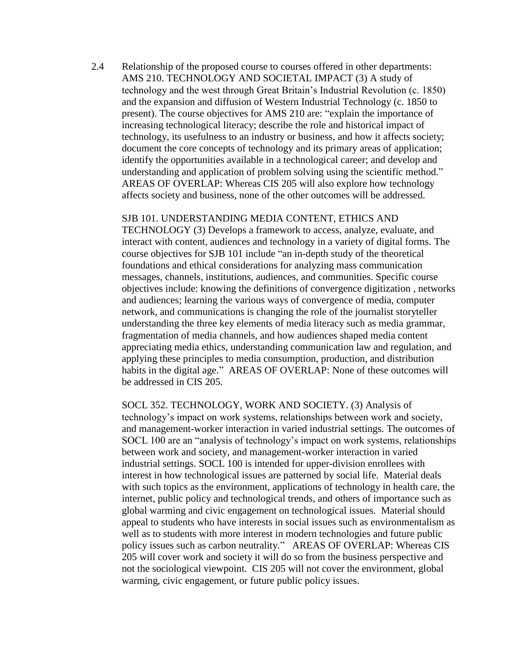2.4 Relationship of the proposed course to courses offered in other departments: AMS 210. TECHNOLOGY AND SOCIETAL IMPACT (3) A study of technology and the west through Great Britain's Industrial Revolution (c. 1850) and the expansion and diffusion of Western Industrial Technology (c. 1850 to present). The course objectives for AMS 210 are: "explain the importance of increasing technological literacy; describe the role and historical impact of technology, its usefulness to an industry or business, and how it affects society; document the core concepts of technology and its primary areas of application; identify the opportunities available in a technological career; and develop and understanding and application of problem solving using the scientific method." AREAS OF OVERLAP: Whereas CIS 205 will also explore how technology affects society and business, none of the other outcomes will be addressed.

#### SJB 101. UNDERSTANDING MEDIA CONTENT, ETHICS AND

TECHNOLOGY (3) Develops a framework to access, analyze, evaluate, and interact with content, audiences and technology in a variety of digital forms. The course objectives for SJB 101 include "an in-depth study of the theoretical foundations and ethical considerations for analyzing mass communication messages, channels, institutions, audiences, and communities. Specific course objectives include: knowing the definitions of convergence digitization , networks and audiences; learning the various ways of convergence of media, computer network, and communications is changing the role of the journalist storyteller understanding the three key elements of media literacy such as media grammar, fragmentation of media channels, and how audiences shaped media content appreciating media ethics, understanding communication law and regulation, and applying these principles to media consumption, production, and distribution habits in the digital age." AREAS OF OVERLAP: None of these outcomes will be addressed in CIS 205.

SOCL 352. TECHNOLOGY, WORK AND SOCIETY. (3) Analysis of technology's impact on work systems, relationships between work and society, and management-worker interaction in varied industrial settings. The outcomes of SOCL 100 are an "analysis of technology's impact on work systems, relationships between work and society, and management-worker interaction in varied industrial settings. SOCL 100 is intended for upper-division enrollees with interest in how technological issues are patterned by social life. Material deals with such topics as the environment, applications of technology in health care, the internet, public policy and technological trends, and others of importance such as global warming and civic engagement on technological issues. Material should appeal to students who have interests in social issues such as environmentalism as well as to students with more interest in modern technologies and future public policy issues such as carbon neutrality." AREAS OF OVERLAP: Whereas CIS 205 will cover work and society it will do so from the business perspective and not the sociological viewpoint. CIS 205 will not cover the environment, global warming, civic engagement, or future public policy issues.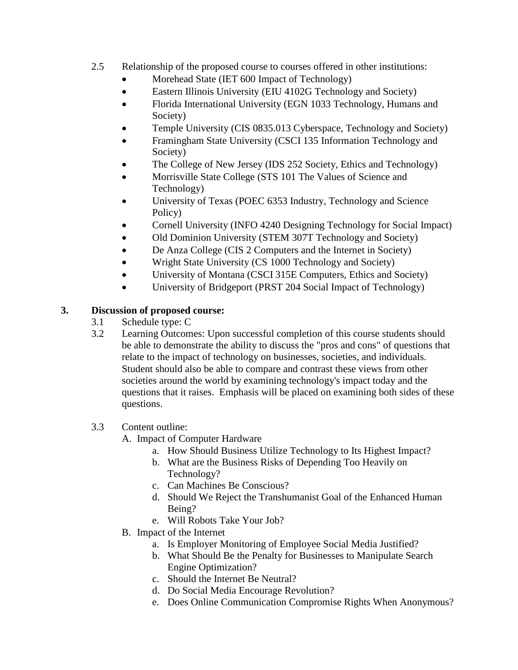- 2.5 Relationship of the proposed course to courses offered in other institutions:
	- Morehead State (IET 600 Impact of Technology)
	- Eastern Illinois University (EIU 4102G Technology and Society)
	- Florida International University (EGN 1033 Technology, Humans and Society)
	- Temple University (CIS 0835.013 Cyberspace, Technology and Society)
	- Framingham State University (CSCI 135 Information Technology and Society)
	- The College of New Jersey (IDS 252 Society, Ethics and Technology)
	- Morrisville State College (STS 101 The Values of Science and Technology)
	- University of Texas (POEC 6353 Industry, Technology and Science Policy)
	- Cornell University (INFO 4240 Designing Technology for Social Impact)
	- Old Dominion University (STEM 307T Technology and Society)
	- De Anza College (CIS 2 Computers and the Internet in Society)
	- Wright State University (CS 1000 Technology and Society)
	- University of Montana (CSCI 315E Computers, Ethics and Society)
	- University of Bridgeport (PRST 204 Social Impact of Technology)

## **3. Discussion of proposed course:**

- 3.1 Schedule type: C
- 3.2 Learning Outcomes: Upon successful completion of this course students should be able to demonstrate the ability to discuss the "pros and cons" of questions that relate to the impact of technology on businesses, societies, and individuals. Student should also be able to compare and contrast these views from other societies around the world by examining technology's impact today and the questions that it raises. Emphasis will be placed on examining both sides of these questions.
- 3.3 Content outline:

A. Impact of Computer Hardware

- a. How Should Business Utilize Technology to Its Highest Impact?
- b. What are the Business Risks of Depending Too Heavily on Technology?
- c. Can Machines Be Conscious?
- d. Should We Reject the Transhumanist Goal of the Enhanced Human Being?
- e. Will Robots Take Your Job?
- B. Impact of the Internet
	- a. Is Employer Monitoring of Employee Social Media Justified?
	- b. What Should Be the Penalty for Businesses to Manipulate Search Engine Optimization?
	- c. Should the Internet Be Neutral?
	- d. Do Social Media Encourage Revolution?
	- e. Does Online Communication Compromise Rights When Anonymous?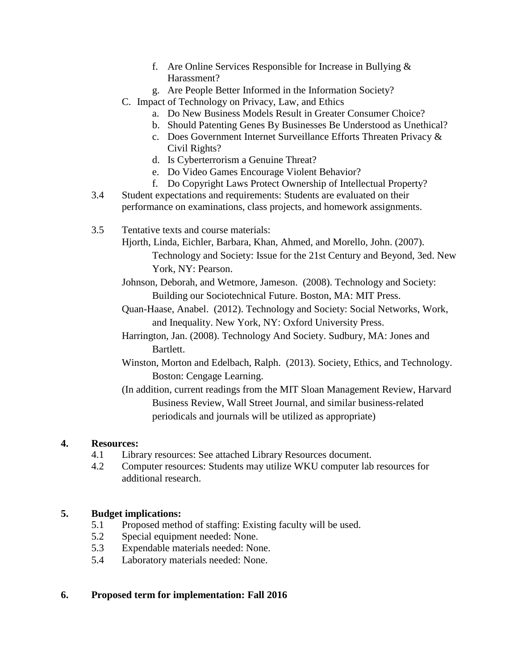- f. Are Online Services Responsible for Increase in Bullying & Harassment?
- g. Are People Better Informed in the Information Society?
- C. Impact of Technology on Privacy, Law, and Ethics
	- a. Do New Business Models Result in Greater Consumer Choice?
	- b. Should Patenting Genes By Businesses Be Understood as Unethical?
	- c. Does Government Internet Surveillance Efforts Threaten Privacy & Civil Rights?
	- d. Is Cyberterrorism a Genuine Threat?
	- e. Do Video Games Encourage Violent Behavior?
	- f. Do Copyright Laws Protect Ownership of Intellectual Property?
- 3.4 Student expectations and requirements: Students are evaluated on their performance on examinations, class projects, and homework assignments.
- 3.5 Tentative texts and course materials:
	- Hjorth, Linda, Eichler, Barbara, Khan, Ahmed, and Morello, John. (2007). Technology and Society: Issue for the 21st Century and Beyond, 3ed. New York, NY: Pearson.
	- Johnson, Deborah, and Wetmore, Jameson. (2008). Technology and Society: Building our Sociotechnical Future. Boston, MA: MIT Press.
	- Quan-Haase, Anabel. (2012). Technology and Society: Social Networks, Work, and Inequality. New York, NY: Oxford University Press.
	- Harrington, Jan. (2008). Technology And Society. Sudbury, MA: Jones and Bartlett.
	- Winston, Morton and Edelbach, Ralph. (2013). Society, Ethics, and Technology. Boston: Cengage Learning.
	- (In addition, current readings from the MIT Sloan Management Review, Harvard Business Review, Wall Street Journal, and similar business-related periodicals and journals will be utilized as appropriate)

## **4. Resources:**

- 4.1 Library resources: See attached Library Resources document.
- 4.2 Computer resources: Students may utilize WKU computer lab resources for additional research.

## **5. Budget implications:**

- 5.1 Proposed method of staffing: Existing faculty will be used.
- 5.2 Special equipment needed: None.
- 5.3 Expendable materials needed: None.
- 5.4 Laboratory materials needed: None.

## **6. Proposed term for implementation: Fall 2016**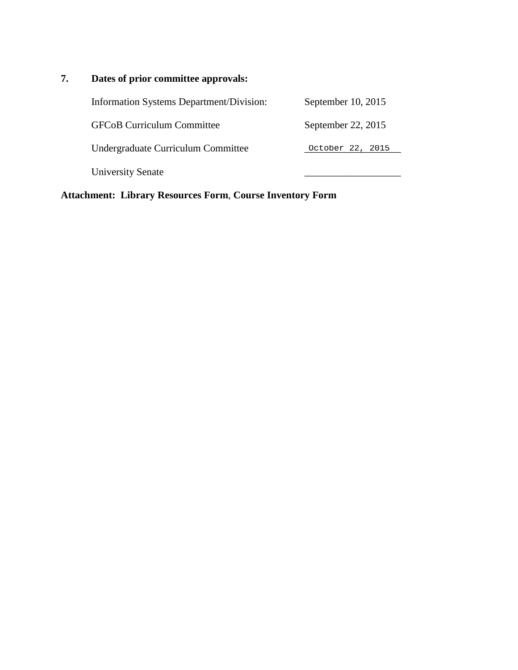# **7. Dates of prior committee approvals:**

| Information Systems Department/Division: | September 10, 2015   |
|------------------------------------------|----------------------|
| <b>GFCoB Curriculum Committee</b>        | September 22, $2015$ |
| Undergraduate Curriculum Committee       | October 22, 2015     |
| <b>University Senate</b>                 |                      |

**Attachment: Library Resources Form**, **Course Inventory Form**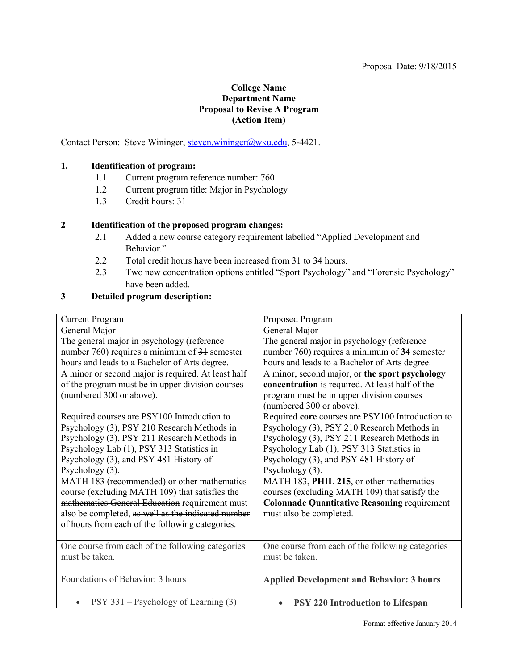#### Proposal Date: 9/18/2015

#### **College Name Department Name Proposal to Revise A Program (Action Item)**

<span id="page-11-0"></span>Contact Person: Steve Wininger[, steven.wininger@wku.edu,](mailto:steven.wininger@wku.edu) 5-4421.

#### **1. Identification of program:**

- 1.1 Current program reference number: 760
- 1.2 Current program title: Major in Psychology
- 1.3 Credit hours: 31

#### **2 Identification of the proposed program changes:**

- 2.1 Added a new course category requirement labelled "Applied Development and Behavior<sup>"</sup>
- 2.2 Total credit hours have been increased from 31 to 34 hours.
- 2.3 Two new concentration options entitled "Sport Psychology" and "Forensic Psychology" have been added.

#### **3 Detailed program description:**

| <b>Current Program</b>                             | Proposed Program                                    |
|----------------------------------------------------|-----------------------------------------------------|
| General Major                                      | General Major                                       |
| The general major in psychology (reference         | The general major in psychology (reference          |
| number 760) requires a minimum of 31 semester      | number 760) requires a minimum of 34 semester       |
| hours and leads to a Bachelor of Arts degree.      | hours and leads to a Bachelor of Arts degree.       |
| A minor or second major is required. At least half | A minor, second major, or the sport psychology      |
| of the program must be in upper division courses   | concentration is required. At least half of the     |
| (numbered 300 or above).                           | program must be in upper division courses           |
|                                                    | (numbered 300 or above).                            |
| Required courses are PSY100 Introduction to        | Required core courses are PSY100 Introduction to    |
| Psychology (3), PSY 210 Research Methods in        | Psychology (3), PSY 210 Research Methods in         |
| Psychology (3), PSY 211 Research Methods in        | Psychology (3), PSY 211 Research Methods in         |
| Psychology Lab (1), PSY 313 Statistics in          | Psychology Lab (1), PSY 313 Statistics in           |
| Psychology (3), and PSY 481 History of             | Psychology (3), and PSY 481 History of              |
| Psychology (3).                                    | Psychology (3).                                     |
| MATH 183 (recommended) or other mathematics        | MATH 183, PHIL 215, or other mathematics            |
| course (excluding MATH 109) that satisfies the     | courses (excluding MATH 109) that satisfy the       |
| mathematics General Education requirement must     | <b>Colonnade Quantitative Reasoning requirement</b> |
| also be completed, as well as the indicated number | must also be completed.                             |
| of hours from each of the following categories.    |                                                     |
|                                                    |                                                     |
| One course from each of the following categories   | One course from each of the following categories    |
| must be taken.                                     | must be taken.                                      |
|                                                    |                                                     |
| Foundations of Behavior: 3 hours                   | <b>Applied Development and Behavior: 3 hours</b>    |
|                                                    |                                                     |
| PSY 331 – Psychology of Learning (3)               | <b>PSY 220 Introduction to Lifespan</b>             |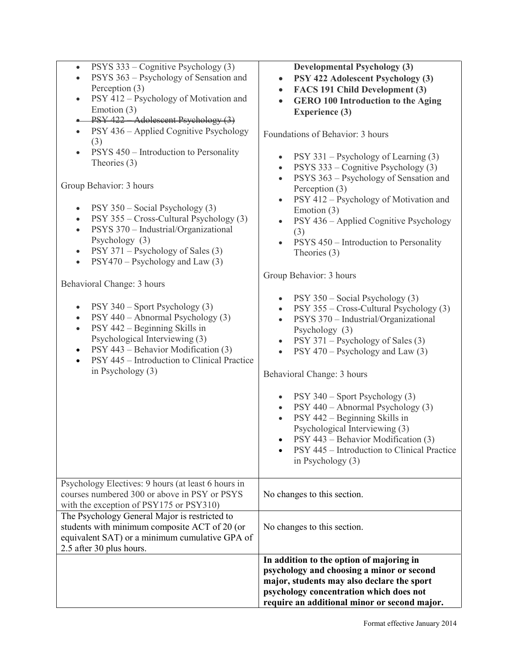| PSYS 333 – Cognitive Psychology (3)<br>$\bullet$                                                 | <b>Developmental Psychology (3)</b>                                                                             |
|--------------------------------------------------------------------------------------------------|-----------------------------------------------------------------------------------------------------------------|
| PSYS 363 - Psychology of Sensation and                                                           | PSY 422 Adolescent Psychology (3)<br>$\bullet$                                                                  |
| Perception (3)                                                                                   | FACS 191 Child Development (3)<br>$\bullet$                                                                     |
| PSY 412 – Psychology of Motivation and<br>$\bullet$                                              | <b>GERO 100 Introduction to the Aging</b><br>$\bullet$                                                          |
| Emotion $(3)$                                                                                    | <b>Experience (3)</b>                                                                                           |
| PSY 422 - Adolescent Psychology (3)                                                              |                                                                                                                 |
| PSY 436 – Applied Cognitive Psychology<br>$\bullet$                                              | Foundations of Behavior: 3 hours                                                                                |
| (3)                                                                                              |                                                                                                                 |
| PSYS 450 – Introduction to Personality<br>$\bullet$<br>Theories (3)                              | PSY 331 – Psychology of Learning (3)<br>$\bullet$<br>PSYS 333 – Cognitive Psychology (3)<br>$\bullet$           |
| Group Behavior: 3 hours                                                                          | PSYS 363 – Psychology of Sensation and<br>$\bullet$<br>Perception (3)<br>PSY 412 – Psychology of Motivation and |
| PSY 350 - Social Psychology (3)                                                                  | $\bullet$<br>Emotion $(3)$                                                                                      |
| PSY 355 - Cross-Cultural Psychology (3)<br>$\bullet$                                             | PSY 436 - Applied Cognitive Psychology<br>$\bullet$                                                             |
| PSYS 370 - Industrial/Organizational<br>$\bullet$                                                | (3)                                                                                                             |
| Psychology (3)                                                                                   | PSYS 450 - Introduction to Personality<br>$\bullet$                                                             |
| PSY 371 – Psychology of Sales (3)<br>$\bullet$<br>$PSY470 - Psychology$ and Law (3)<br>$\bullet$ | Theories $(3)$                                                                                                  |
|                                                                                                  | Group Behavior: 3 hours                                                                                         |
| Behavioral Change: 3 hours                                                                       |                                                                                                                 |
| PSY 340 – Sport Psychology (3)<br>$\bullet$                                                      | PSY 350 – Social Psychology (3)<br>$\bullet$<br>PSY 355 – Cross-Cultural Psychology (3)<br>$\bullet$            |
| PSY 440 - Abnormal Psychology (3)<br>$\bullet$                                                   | PSYS 370 - Industrial/Organizational<br>$\bullet$                                                               |
| PSY 442 - Beginning Skills in<br>$\bullet$                                                       | Psychology (3)                                                                                                  |
| Psychological Interviewing (3)                                                                   | PSY 371 – Psychology of Sales (3)<br>$\bullet$                                                                  |
| PSY 443 – Behavior Modification (3)<br>$\bullet$                                                 | $PSY 470 - Psychology$ and Law (3)<br>$\bullet$                                                                 |
| PSY 445 – Introduction to Clinical Practice<br>$\bullet$                                         |                                                                                                                 |
| in Psychology $(3)$                                                                              | Behavioral Change: 3 hours                                                                                      |
|                                                                                                  |                                                                                                                 |
|                                                                                                  | PSY 340 – Sport Psychology (3)<br>$\bullet$                                                                     |
|                                                                                                  | PSY 440 - Abnormal Psychology (3)<br>$\bullet$                                                                  |
|                                                                                                  | PSY 442 – Beginning Skills in<br>$\bullet$                                                                      |
|                                                                                                  | Psychological Interviewing (3)                                                                                  |
|                                                                                                  | PSY 443 – Behavior Modification (3)                                                                             |
|                                                                                                  | PSY 445 – Introduction to Clinical Practice                                                                     |
|                                                                                                  | in Psychology $(3)$                                                                                             |
|                                                                                                  |                                                                                                                 |
| Psychology Electives: 9 hours (at least 6 hours in                                               |                                                                                                                 |
| courses numbered 300 or above in PSY or PSYS                                                     | No changes to this section.                                                                                     |
| with the exception of PSY175 or PSY310)                                                          |                                                                                                                 |
| The Psychology General Major is restricted to                                                    |                                                                                                                 |
| students with minimum composite ACT of 20 (or                                                    | No changes to this section.                                                                                     |
| equivalent SAT) or a minimum cumulative GPA of                                                   |                                                                                                                 |
| 2.5 after 30 plus hours.                                                                         |                                                                                                                 |
|                                                                                                  | In addition to the option of majoring in                                                                        |
|                                                                                                  | psychology and choosing a minor or second                                                                       |
|                                                                                                  | major, students may also declare the sport                                                                      |
|                                                                                                  | psychology concentration which does not                                                                         |
|                                                                                                  | require an additional minor or second major.                                                                    |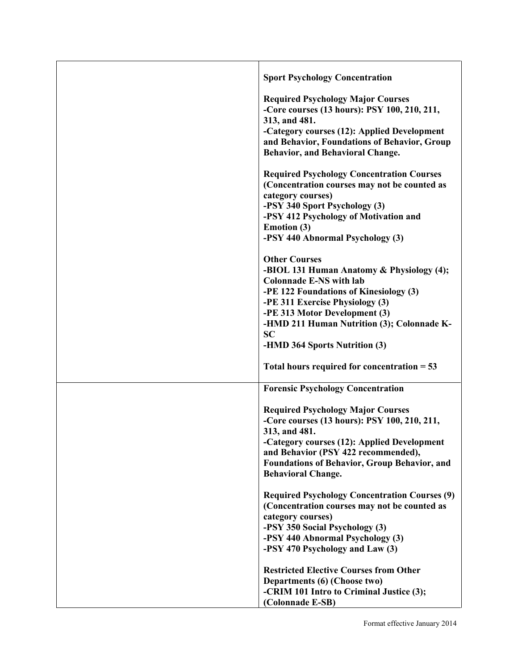| <b>Sport Psychology Concentration</b>                                                                                                                                                                                                                                               |
|-------------------------------------------------------------------------------------------------------------------------------------------------------------------------------------------------------------------------------------------------------------------------------------|
| <b>Required Psychology Major Courses</b><br>-Core courses (13 hours): PSY 100, 210, 211,<br>313, and 481.<br>-Category courses (12): Applied Development<br>and Behavior, Foundations of Behavior, Group<br>Behavior, and Behavioral Change.                                        |
| <b>Required Psychology Concentration Courses</b><br>(Concentration courses may not be counted as<br>category courses)<br>-PSY 340 Sport Psychology (3)<br>-PSY 412 Psychology of Motivation and<br>Emotion (3)<br>-PSY 440 Abnormal Psychology (3)                                  |
| <b>Other Courses</b><br>-BIOL 131 Human Anatomy & Physiology (4);<br><b>Colonnade E-NS with lab</b><br>-PE 122 Foundations of Kinesiology (3)<br>-PE 311 Exercise Physiology (3)<br>-PE 313 Motor Development (3)<br>-HMD 211 Human Nutrition (3); Colonnade K-<br><b>SC</b>        |
| -HMD 364 Sports Nutrition (3)<br>Total hours required for concentration $= 53$                                                                                                                                                                                                      |
| <b>Forensic Psychology Concentration</b>                                                                                                                                                                                                                                            |
| <b>Required Psychology Major Courses</b><br>-Core courses (13 hours): PSY 100, 210, 211,<br>313, and 481.<br>-Category courses (12): Applied Development<br>and Behavior (PSY 422 recommended),<br><b>Foundations of Behavior, Group Behavior, and</b><br><b>Behavioral Change.</b> |
| <b>Required Psychology Concentration Courses (9)</b><br>(Concentration courses may not be counted as<br>category courses)<br>-PSY 350 Social Psychology (3)<br>-PSY 440 Abnormal Psychology (3)<br>-PSY 470 Psychology and Law (3)                                                  |
| <b>Restricted Elective Courses from Other</b><br>Departments (6) (Choose two)<br>-CRIM 101 Intro to Criminal Justice (3);<br>(Colonnade E-SB)                                                                                                                                       |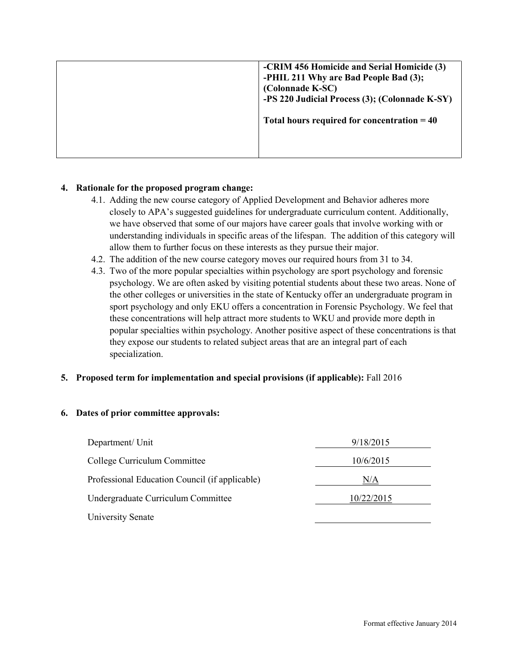| -CRIM 456 Homicide and Serial Homicide (3)<br>-PHIL 211 Why are Bad People Bad (3);<br>(Colonnade K-SC)<br>-PS 220 Judicial Process (3); (Colonnade K-SY) |
|-----------------------------------------------------------------------------------------------------------------------------------------------------------|
| Total hours required for concentration $= 40$                                                                                                             |

## **4. Rationale for the proposed program change:**

- 4.1. Adding the new course category of Applied Development and Behavior adheres more closely to APA's suggested guidelines for undergraduate curriculum content. Additionally, we have observed that some of our majors have career goals that involve working with or understanding individuals in specific areas of the lifespan. The addition of this category will allow them to further focus on these interests as they pursue their major.
- 4.2. The addition of the new course category moves our required hours from 31 to 34.
- 4.3. Two of the more popular specialties within psychology are sport psychology and forensic psychology. We are often asked by visiting potential students about these two areas. None of the other colleges or universities in the state of Kentucky offer an undergraduate program in sport psychology and only EKU offers a concentration in Forensic Psychology. We feel that these concentrations will help attract more students to WKU and provide more depth in popular specialties within psychology. Another positive aspect of these concentrations is that they expose our students to related subject areas that are an integral part of each specialization.

## **5. Proposed term for implementation and special provisions (if applicable):** Fall 2016

#### **6. Dates of prior committee approvals:**

| Department/ Unit                               | 9/18/2015  |
|------------------------------------------------|------------|
| College Curriculum Committee                   | 10/6/2015  |
| Professional Education Council (if applicable) | N/A        |
| Undergraduate Curriculum Committee             | 10/22/2015 |
| University Senate                              |            |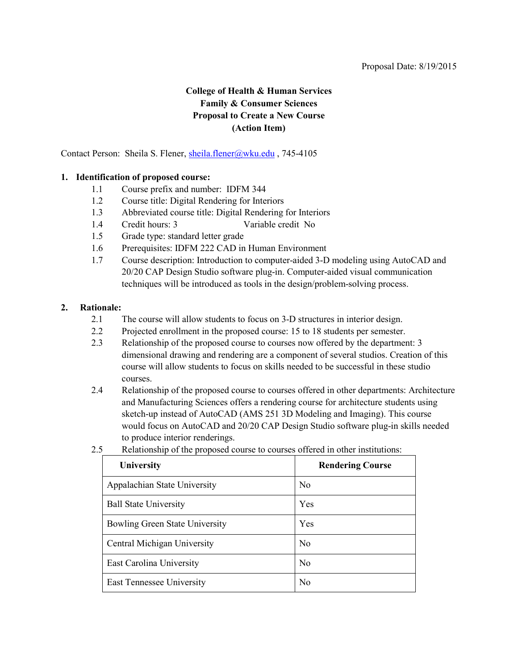## **College of Health & Human Services Family & Consumer Sciences Proposal to Create a New Course (Action Item)**

<span id="page-15-0"></span>Contact Person: Sheila S. Flener, sheila.flener@wku.edu, 745-4105

#### **1. Identification of proposed course:**

- 1.1 Course prefix and number: IDFM 344
- 1.2 Course title: Digital Rendering for Interiors
- 1.3 Abbreviated course title: Digital Rendering for Interiors
- 1.4 Credit hours: 3 Variable credit No
- 1.5 Grade type: standard letter grade
- 1.6 Prerequisites: IDFM 222 CAD in Human Environment
- 1.7 Course description: Introduction to computer-aided 3-D modeling using AutoCAD and 20/20 CAP Design Studio software plug-in. Computer-aided visual communication techniques will be introduced as tools in the design/problem-solving process.

#### **2. Rationale:**

- 2.1 The course will allow students to focus on 3-D structures in interior design.
- 2.2 Projected enrollment in the proposed course: 15 to 18 students per semester.
- 2.3 Relationship of the proposed course to courses now offered by the department: 3 dimensional drawing and rendering are a component of several studios. Creation of this course will allow students to focus on skills needed to be successful in these studio courses.
- 2.4 Relationship of the proposed course to courses offered in other departments: Architecture and Manufacturing Sciences offers a rendering course for architecture students using sketch-up instead of AutoCAD (AMS 251 3D Modeling and Imaging). This course would focus on AutoCAD and 20/20 CAP Design Studio software plug-in skills needed to produce interior renderings.
- 2.5 Relationship of the proposed course to courses offered in other institutions:

| University                            | <b>Rendering Course</b> |
|---------------------------------------|-------------------------|
| Appalachian State University          | N <sub>0</sub>          |
| <b>Ball State University</b>          | Yes                     |
| <b>Bowling Green State University</b> | Yes                     |
| Central Michigan University           | N <sub>0</sub>          |
| East Carolina University              | N <sub>o</sub>          |
| East Tennessee University             | N <sub>0</sub>          |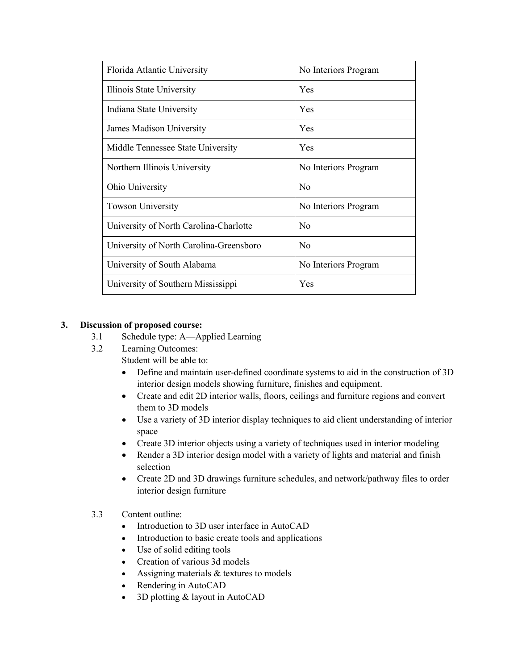| Florida Atlantic University             | No Interiors Program |
|-----------------------------------------|----------------------|
| Illinois State University               | Yes                  |
| Indiana State University                | <b>Yes</b>           |
| James Madison University                | Yes                  |
| Middle Tennessee State University       | Yes                  |
| Northern Illinois University            | No Interiors Program |
| Ohio University                         | N <sub>0</sub>       |
| <b>Towson University</b>                | No Interiors Program |
| University of North Carolina-Charlotte  | N <sub>0</sub>       |
| University of North Carolina-Greensboro | No                   |
| University of South Alabama             | No Interiors Program |
| University of Southern Mississippi      | Yes                  |

#### **3. Discussion of proposed course:**

- 3.1 Schedule type: A—Applied Learning
- 3.2 Learning Outcomes:
	- Student will be able to:
		- Define and maintain user-defined coordinate systems to aid in the construction of 3D interior design models showing furniture, finishes and equipment.
	- Create and edit 2D interior walls, floors, ceilings and furniture regions and convert them to 3D models
	- Use a variety of 3D interior display techniques to aid client understanding of interior space
	- Create 3D interior objects using a variety of techniques used in interior modeling
	- Render a 3D interior design model with a variety of lights and material and finish selection
	- Create 2D and 3D drawings furniture schedules, and network/pathway files to order interior design furniture
- 3.3 Content outline:
	- Introduction to 3D user interface in AutoCAD
	- Introduction to basic create tools and applications
	- Use of solid editing tools
	- Creation of various 3d models
	- Assigning materials & textures to models
	- Rendering in AutoCAD
	- 3D plotting & layout in AutoCAD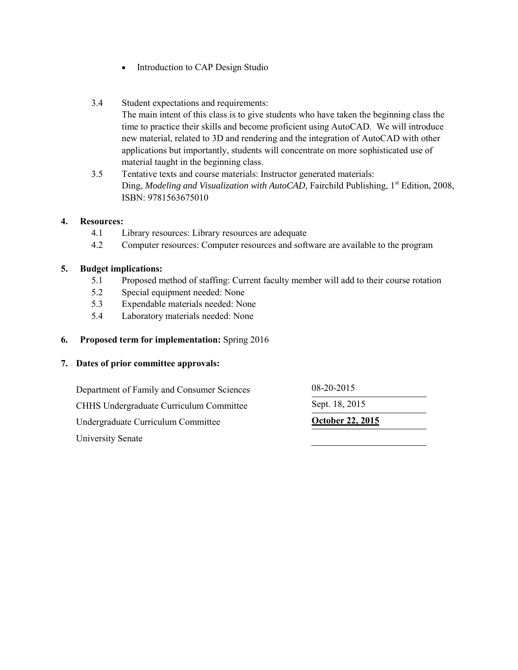- Introduction to CAP Design Studio
- 3.4 Student expectations and requirements:

The main intent of this class is to give students who have taken the beginning class the time to practice their skills and become proficient using AutoCAD. We will introduce new material, related to 3D and rendering and the integration of AutoCAD with other applications but importantly, students will concentrate on more sophisticated use of material taught in the beginning class.

3.5 Tentative texts and course materials: Instructor generated materials: [Ding,](http://www.bloomsbury.com/us/author/suining-ding-40519) *Modeling and Visualization with AutoCAD*, Fairchild Publishing, 1<sup>st</sup> Edition, 2008, ISBN: 9781563675010

#### **4. Resources:**

- 4.1 Library resources: Library resources are adequate
- 4.2 Computer resources: Computer resources and software are available to the program

#### **5. Budget implications:**

- 5.1 Proposed method of staffing: Current faculty member will add to their course rotation
- 5.2 Special equipment needed: None
- 5.3 Expendable materials needed: None
- 5.4 Laboratory materials needed: None

#### **6. Proposed term for implementation:** Spring 2016

#### **7. Dates of prior committee approvals:**

Department of Family and Consumer Sciences 08-20-2015 CHHS Undergraduate Curriculum Committee Sept. 18, 2015 Undergraduate Curriculum Committee **October 22, 2015** University Senate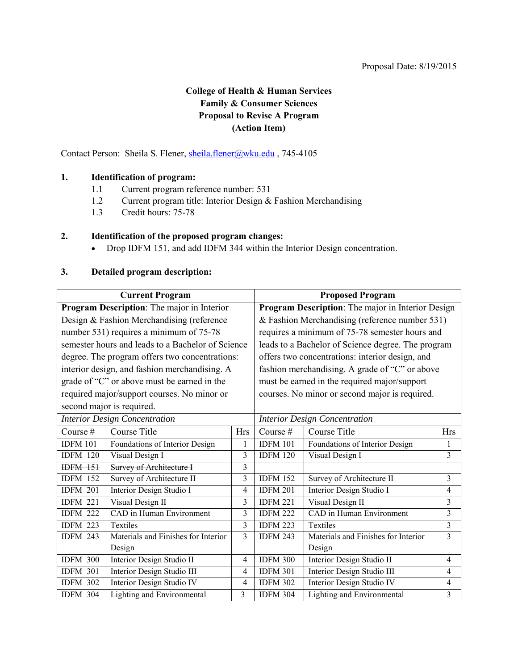## **College of Health & Human Services Family & Consumer Sciences Proposal to Revise A Program (Action Item)**

<span id="page-18-0"></span>Contact Person: Sheila S. Flener, sheila.flener@wku.edu, 745-4105

## **1. Identification of program:**

- 1.1 Current program reference number: 531
- 1.2 Current program title: Interior Design & Fashion Merchandising
- 1.3 Credit hours: 75-78

#### **2. Identification of the proposed program changes:**

• Drop IDFM 151, and add IDFM 344 within the Interior Design concentration.

### **3. Detailed program description:**

| <b>Current Program</b>                         |                                                   | <b>Proposed Program</b>                           |                                                    |                                                |                |
|------------------------------------------------|---------------------------------------------------|---------------------------------------------------|----------------------------------------------------|------------------------------------------------|----------------|
| Program Description: The major in Interior     |                                                   | Program Description: The major in Interior Design |                                                    |                                                |                |
|                                                | Design & Fashion Merchandising (reference         |                                                   | & Fashion Merchandising (reference number 531)     |                                                |                |
|                                                | number 531) requires a minimum of 75-78           |                                                   | requires a minimum of 75-78 semester hours and     |                                                |                |
|                                                | semester hours and leads to a Bachelor of Science |                                                   | leads to a Bachelor of Science degree. The program |                                                |                |
| degree. The program offers two concentrations: |                                                   | offers two concentrations: interior design, and   |                                                    |                                                |                |
|                                                | interior design, and fashion merchandising. A     |                                                   | fashion merchandising. A grade of "C" or above     |                                                |                |
| grade of "C" or above must be earned in the    |                                                   | must be earned in the required major/support      |                                                    |                                                |                |
| required major/support courses. No minor or    |                                                   |                                                   |                                                    | courses. No minor or second major is required. |                |
| second major is required.                      |                                                   |                                                   |                                                    |                                                |                |
| <b>Interior Design Concentration</b>           |                                                   | <b>Interior Design Concentration</b>              |                                                    |                                                |                |
| Course #                                       | Course Title                                      | <b>Hrs</b>                                        | Course #                                           | <b>Course Title</b>                            | <b>Hrs</b>     |
| <b>IDFM 101</b>                                | Foundations of Interior Design                    | 1                                                 | <b>IDFM 101</b>                                    | Foundations of Interior Design                 | 1              |
| <b>IDFM 120</b>                                | Visual Design I                                   | 3                                                 | <b>IDFM 120</b>                                    | Visual Design I                                | 3              |
| <b>IDFM 151</b>                                | <b>Survey of Architecture I</b>                   | $\overline{3}$                                    |                                                    |                                                |                |
| <b>IDFM 152</b>                                | Survey of Architecture II                         | $\overline{\mathbf{3}}$                           | <b>IDFM 152</b>                                    | Survey of Architecture II                      | $\overline{3}$ |
| <b>IDFM 201</b>                                | Interior Design Studio I                          | $\overline{4}$                                    | <b>IDFM 201</b>                                    | Interior Design Studio I                       | 4              |
| <b>IDFM 221</b>                                | Visual Design II                                  | $\overline{3}$                                    | <b>IDFM 221</b>                                    | Visual Design II                               | 3              |
| <b>IDFM 222</b>                                | CAD in Human Environment                          | 3                                                 | <b>IDFM 222</b>                                    | CAD in Human Environment                       | 3              |
| <b>IDFM 223</b>                                | Textiles                                          | 3                                                 | <b>IDFM 223</b>                                    | Textiles                                       | 3              |
| <b>IDFM 243</b>                                | Materials and Finishes for Interior               | $\overline{3}$                                    | <b>IDFM 243</b>                                    | Materials and Finishes for Interior            | $\overline{3}$ |
|                                                | Design                                            |                                                   |                                                    | Design                                         |                |
| <b>IDFM 300</b>                                | <b>Interior Design Studio II</b>                  | $\overline{4}$                                    | <b>IDFM 300</b>                                    | Interior Design Studio II                      | 4              |
| <b>IDFM 301</b>                                | Interior Design Studio III                        | $\overline{4}$                                    | <b>IDFM 301</b>                                    | Interior Design Studio III                     | $\overline{4}$ |
| <b>IDFM 302</b>                                | Interior Design Studio IV                         | $\overline{4}$                                    | <b>IDFM 302</b>                                    | Interior Design Studio IV                      | $\overline{4}$ |
| <b>IDFM 304</b>                                | Lighting and Environmental                        | 3                                                 | <b>IDFM 304</b>                                    | Lighting and Environmental                     | $\mathfrak{Z}$ |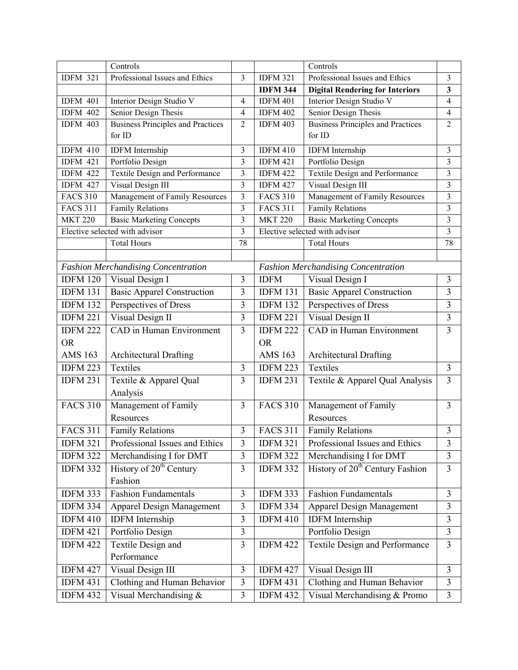|                 | Controls                                   |                         |                              | Controls                                    |                         |
|-----------------|--------------------------------------------|-------------------------|------------------------------|---------------------------------------------|-------------------------|
| <b>IDFM 321</b> | Professional Issues and Ethics             | 3                       | <b>IDFM 321</b>              | Professional Issues and Ethics              | 3                       |
|                 |                                            |                         | <b>IDFM 344</b>              | <b>Digital Rendering for Interiors</b>      | 3                       |
| <b>IDFM 401</b> | Interior Design Studio V                   | $\overline{4}$          | <b>IDFM 401</b>              | Interior Design Studio V                    | $\overline{4}$          |
| <b>IDFM 402</b> | Senior Design Thesis                       | 4                       | <b>IDFM 402</b>              | Senior Design Thesis                        | $\overline{4}$          |
| <b>IDFM 403</b> | <b>Business Principles and Practices</b>   | $\overline{2}$          | $\overline{\text{IDFM}}$ 403 | <b>Business Principles and Practices</b>    | $\overline{2}$          |
|                 | for ID                                     |                         |                              | for ID                                      |                         |
| <b>IDFM 410</b> | <b>IDFM</b> Internship                     | 3                       | <b>IDFM 410</b>              | <b>IDFM</b> Internship                      | 3                       |
| <b>IDFM 421</b> | Portfolio Design                           | $\overline{\mathbf{3}}$ | <b>IDFM 421</b>              | Portfolio Design                            | $\mathfrak{Z}$          |
| <b>IDFM 422</b> | Textile Design and Performance             | 3                       | <b>IDFM 422</b>              | Textile Design and Performance              | 3                       |
| <b>IDFM 427</b> | Visual Design III                          | 3                       | <b>IDFM 427</b>              | Visual Design III                           | $\mathfrak{Z}$          |
| <b>FACS 310</b> | Management of Family Resources             | 3                       | <b>FACS 310</b>              | Management of Family Resources              | 3                       |
| <b>FACS 311</b> | <b>Family Relations</b>                    | $\overline{\mathbf{3}}$ | <b>FACS 311</b>              | <b>Family Relations</b>                     | 3                       |
| <b>MKT 220</b>  | <b>Basic Marketing Concepts</b>            | 3                       | <b>MKT 220</b>               | <b>Basic Marketing Concepts</b>             | $\mathfrak{Z}$          |
|                 | Elective selected with advisor             | 3                       |                              | Elective selected with advisor              | $\mathfrak{Z}$          |
|                 | <b>Total Hours</b>                         | 78                      |                              | <b>Total Hours</b>                          | 78                      |
|                 |                                            |                         |                              |                                             |                         |
|                 | <b>Fashion Merchandising Concentration</b> |                         |                              | <b>Fashion Merchandising Concentration</b>  |                         |
| <b>IDFM 120</b> | Visual Design I                            | 3                       | <b>IDFM</b>                  | Visual Design I                             | 3                       |
| <b>IDFM 131</b> | <b>Basic Apparel Construction</b>          | 3                       | <b>IDFM 131</b>              | <b>Basic Apparel Construction</b>           | 3                       |
| <b>IDFM 132</b> | Perspectives of Dress                      | 3                       | <b>IDFM 132</b>              | Perspectives of Dress                       | 3                       |
| <b>IDFM 221</b> | Visual Design II                           | $\overline{\mathbf{3}}$ | <b>IDFM 221</b>              | Visual Design II                            | $\overline{3}$          |
| <b>IDFM 222</b> | CAD in Human Environment                   | 3                       | <b>IDFM 222</b>              | <b>CAD</b> in Human Environment             | $\overline{\mathbf{3}}$ |
| <b>OR</b>       |                                            |                         | <b>OR</b>                    |                                             |                         |
| <b>AMS 163</b>  | <b>Architectural Drafting</b>              |                         | <b>AMS 163</b>               | <b>Architectural Drafting</b>               |                         |
| <b>IDFM 223</b> | Textiles                                   | 3                       | <b>IDFM 223</b>              | Textiles                                    | 3                       |
| <b>IDFM 231</b> | Textile & Apparel Qual                     | 3                       | <b>IDFM 231</b>              | Textile & Apparel Qual Analysis             | $\overline{\mathbf{3}}$ |
|                 | Analysis                                   |                         |                              |                                             |                         |
| <b>FACS 310</b> | Management of Family                       | 3                       | <b>FACS 310</b>              | Management of Family                        | $\overline{3}$          |
|                 | Resources                                  |                         |                              | Resources                                   |                         |
| <b>FACS 311</b> | <b>Family Relations</b>                    | 3                       | <b>FACS 311</b>              | <b>Family Relations</b>                     | 3                       |
| <b>IDFM 321</b> | Professional Issues and Ethics             | 3                       | <b>IDFM 321</b>              | Professional Issues and Ethics              | 3                       |
| <b>IDFM 322</b> | Merchandising I for DMT                    | $\mathfrak{Z}$          | <b>IDFM 322</b>              | Merchandising I for DMT                     | $\overline{3}$          |
| <b>IDFM 332</b> | History of 20 <sup>th</sup> Century        | 3                       | <b>IDFM 332</b>              | History of 20 <sup>th</sup> Century Fashion | $\overline{3}$          |
|                 | Fashion                                    |                         |                              |                                             |                         |
| <b>IDFM 333</b> | <b>Fashion Fundamentals</b>                | 3                       | <b>IDFM 333</b>              | <b>Fashion Fundamentals</b>                 | 3                       |
| <b>IDFM 334</b> | Apparel Design Management                  | $\mathfrak{Z}$          | <b>IDFM 334</b>              | <b>Apparel Design Management</b>            | 3                       |
| <b>IDFM 410</b> | <b>IDFM</b> Internship                     | 3                       | <b>IDFM 410</b>              | <b>IDFM</b> Internship                      | 3                       |
| <b>IDFM 421</b> | Portfolio Design                           | $\overline{\mathbf{3}}$ |                              | Portfolio Design                            | $\mathfrak{Z}$          |
|                 |                                            |                         |                              |                                             |                         |
| <b>IDFM 422</b> | Textile Design and                         | 3                       | <b>IDFM 422</b>              | Textile Design and Performance              | 3                       |
|                 | Performance                                |                         |                              |                                             |                         |
| <b>IDFM 427</b> | Visual Design III                          | $\mathfrak{Z}$          | <b>IDFM 427</b>              | Visual Design III                           | $\mathfrak{Z}$          |
| <b>IDFM 431</b> | Clothing and Human Behavior                | $\overline{3}$          | <b>IDFM 431</b>              | Clothing and Human Behavior                 | $\mathfrak{Z}$          |
| <b>IDFM 432</b> | Visual Merchandising &                     | 3                       | <b>IDFM 432</b>              | Visual Merchandising & Promo                | $\mathfrak{Z}$          |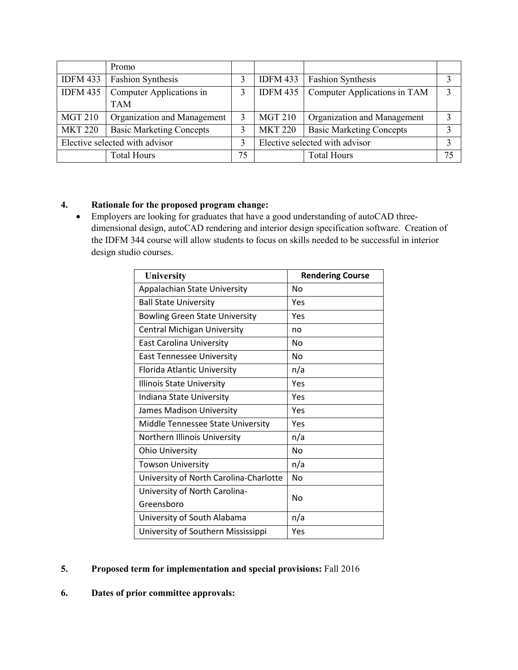|                                | Promo                           |    |                 |                                 |               |
|--------------------------------|---------------------------------|----|-----------------|---------------------------------|---------------|
| <b>IDFM 433</b>                | <b>Fashion Synthesis</b>        |    | <b>IDFM 433</b> | <b>Fashion Synthesis</b>        |               |
| <b>IDFM 435</b>                | Computer Applications in        | 3  | <b>IDFM 435</b> | Computer Applications in TAM    | $\mathcal{R}$ |
|                                | <b>TAM</b>                      |    |                 |                                 |               |
| <b>MGT 210</b>                 | Organization and Management     |    | <b>MGT 210</b>  | Organization and Management     | 3             |
| <b>MKT 220</b>                 | <b>Basic Marketing Concepts</b> |    | <b>MKT 220</b>  | <b>Basic Marketing Concepts</b> |               |
| Elective selected with advisor |                                 | 3  |                 | Elective selected with advisor  |               |
|                                | <b>Total Hours</b>              | 75 |                 | <b>Total Hours</b>              | 75            |

## **4. Rationale for the proposed program change:**

• Employers are looking for graduates that have a good understanding of autoCAD threedimensional design, autoCAD rendering and interior design specification software. Creation of the IDFM 344 course will allow students to focus on skills needed to be successful in interior design studio courses.

| University                             | <b>Rendering Course</b> |
|----------------------------------------|-------------------------|
| Appalachian State University           | N <sub>0</sub>          |
| <b>Ball State University</b>           | Yes                     |
| <b>Bowling Green State University</b>  | Yes                     |
| <b>Central Michigan University</b>     | no                      |
| <b>East Carolina University</b>        | No                      |
| <b>East Tennessee University</b>       | No                      |
| Florida Atlantic University            | n/a                     |
| <b>Illinois State University</b>       | Yes                     |
| Indiana State University               | Yes                     |
| James Madison University               | Yes                     |
| Middle Tennessee State University      | Yes                     |
| Northern Illinois University           | n/a                     |
| <b>Ohio University</b>                 | No                      |
| <b>Towson University</b>               | n/a                     |
| University of North Carolina-Charlotte | No                      |
| University of North Carolina-          | No                      |
| Greensboro                             |                         |
| University of South Alabama            | n/a                     |
| University of Southern Mississippi     | Yes                     |

## **5. Proposed term for implementation and special provisions:** Fall 2016

**6. Dates of prior committee approvals:**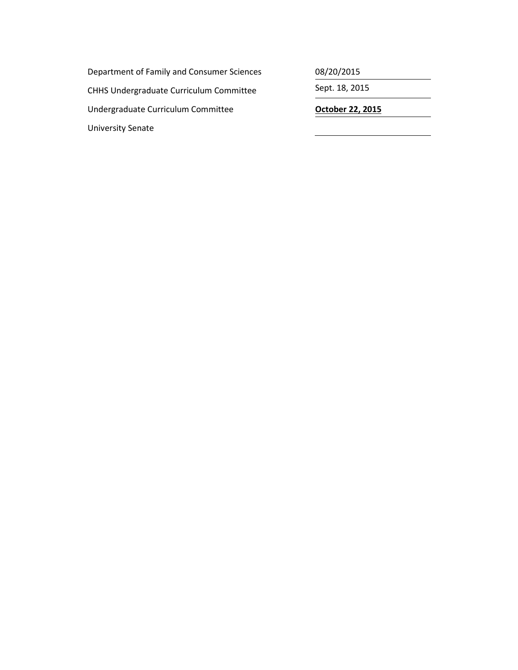Department of Family and Consumer Sciences 08/20/2015 CHHS Undergraduate Curriculum Committee Sept. 18, 2015 Undergraduate Curriculum Committee **Career Contract Contract Contract Contract** Contract Contract Contract Contra University Senate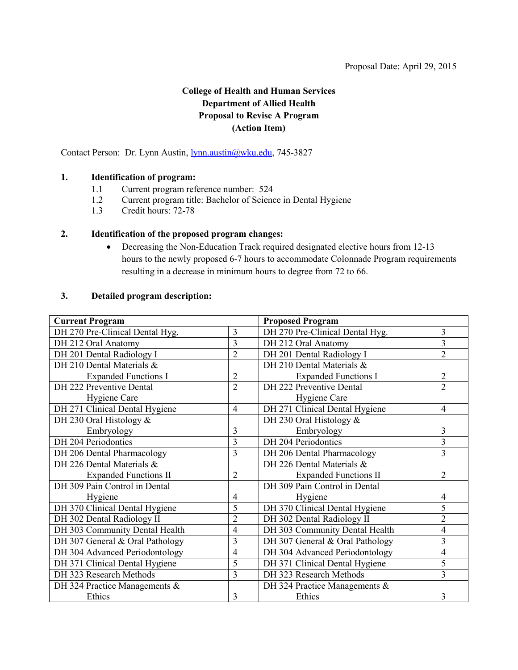## **College of Health and Human Services Department of Allied Health Proposal to Revise A Program (Action Item)**

<span id="page-22-0"></span>Contact Person: Dr. Lynn Austin, [lynn.austin@wku.edu,](mailto:lynn.austin@wku.edu) 745-3827

#### **1. Identification of program:**

- 1.1 Current program reference number: 524
- 1.2 Current program title: Bachelor of Science in Dental Hygiene
- 1.3 Credit hours: 72-78

## **2. Identification of the proposed program changes:**

• Decreasing the Non-Education Track required designated elective hours from 12-13 hours to the newly proposed 6-7 hours to accommodate Colonnade Program requirements resulting in a decrease in minimum hours to degree from 72 to 66.

#### **3. Detailed program description:**

| <b>Current Program</b>          |                | <b>Proposed Program</b>         |                |  |  |
|---------------------------------|----------------|---------------------------------|----------------|--|--|
| DH 270 Pre-Clinical Dental Hyg. | 3              | DH 270 Pre-Clinical Dental Hyg. | 3              |  |  |
| DH 212 Oral Anatomy             | $\overline{3}$ | DH 212 Oral Anatomy             | $\overline{3}$ |  |  |
| DH 201 Dental Radiology I       | $\overline{2}$ | DH 201 Dental Radiology I       | $\overline{2}$ |  |  |
| DH 210 Dental Materials &       |                | DH 210 Dental Materials &       |                |  |  |
| <b>Expanded Functions I</b>     | $\overline{c}$ | <b>Expanded Functions I</b>     | $\overline{2}$ |  |  |
| DH 222 Preventive Dental        | $\overline{2}$ | DH 222 Preventive Dental        | $\overline{2}$ |  |  |
| Hygiene Care                    |                | Hygiene Care                    |                |  |  |
| DH 271 Clinical Dental Hygiene  | $\overline{4}$ | DH 271 Clinical Dental Hygiene  | $\overline{4}$ |  |  |
| DH 230 Oral Histology &         |                | DH 230 Oral Histology $&$       |                |  |  |
| Embryology                      | 3              | Embryology                      | 3              |  |  |
| DH 204 Periodontics             | 3              | DH 204 Periodontics             | $\overline{3}$ |  |  |
| DH 206 Dental Pharmacology      | 3              | DH 206 Dental Pharmacology      | $\overline{3}$ |  |  |
| DH 226 Dental Materials &       |                | DH 226 Dental Materials &       |                |  |  |
| <b>Expanded Functions II</b>    | 2              | <b>Expanded Functions II</b>    | $\overline{2}$ |  |  |
| DH 309 Pain Control in Dental   |                | DH 309 Pain Control in Dental   |                |  |  |
| Hygiene                         | 4              | Hygiene                         | $\overline{4}$ |  |  |
| DH 370 Clinical Dental Hygiene  | 5              | DH 370 Clinical Dental Hygiene  | 5              |  |  |
| DH 302 Dental Radiology II      | 2              | DH 302 Dental Radiology II      | $\overline{2}$ |  |  |
| DH 303 Community Dental Health  | $\overline{4}$ | DH 303 Community Dental Health  | $\overline{4}$ |  |  |
| DH 307 General & Oral Pathology | 3              | DH 307 General & Oral Pathology | 3              |  |  |
| DH 304 Advanced Periodontology  | $\overline{4}$ | DH 304 Advanced Periodontology  | $\overline{4}$ |  |  |
| DH 371 Clinical Dental Hygiene  | 5              | DH 371 Clinical Dental Hygiene  | 5              |  |  |
| DH 323 Research Methods         | 3              | DH 323 Research Methods         | $\overline{3}$ |  |  |
| DH 324 Practice Managements &   |                | DH 324 Practice Managements &   |                |  |  |
| Ethics                          | 3              | Ethics                          | 3              |  |  |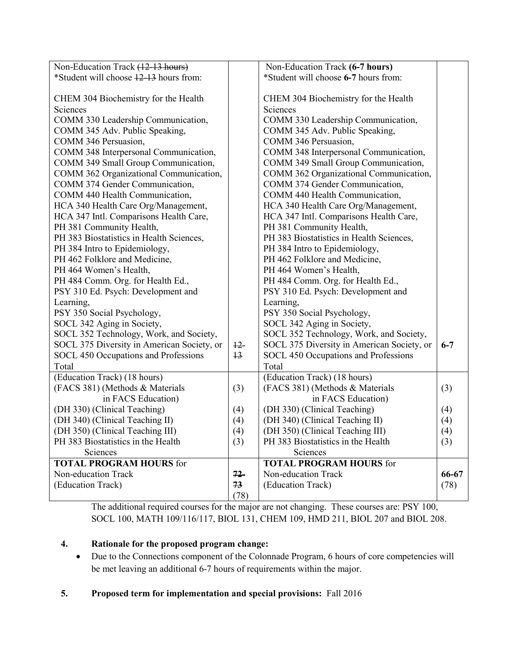| Non-Education Track (12-13 hours)          |                 | Non-Education Track (6-7 hours)            |         |
|--------------------------------------------|-----------------|--------------------------------------------|---------|
| *Student will choose 12-13 hours from:     |                 | *Student will choose 6-7 hours from:       |         |
|                                            |                 |                                            |         |
| CHEM 304 Biochemistry for the Health       |                 | CHEM 304 Biochemistry for the Health       |         |
| Sciences                                   |                 | Sciences                                   |         |
| COMM 330 Leadership Communication,         |                 | COMM 330 Leadership Communication,         |         |
| COMM 345 Adv. Public Speaking,             |                 | COMM 345 Adv. Public Speaking,             |         |
| COMM 346 Persuasion,                       |                 | COMM 346 Persuasion,                       |         |
| COMM 348 Interpersonal Communication,      |                 | COMM 348 Interpersonal Communication,      |         |
| COMM 349 Small Group Communication,        |                 | COMM 349 Small Group Communication,        |         |
| COMM 362 Organizational Communication,     |                 | COMM 362 Organizational Communication,     |         |
| COMM 374 Gender Communication,             |                 | COMM 374 Gender Communication,             |         |
| COMM 440 Health Communication,             |                 | COMM 440 Health Communication,             |         |
| HCA 340 Health Care Org/Management,        |                 | HCA 340 Health Care Org/Management,        |         |
| HCA 347 Intl. Comparisons Health Care,     |                 | HCA 347 Intl. Comparisons Health Care,     |         |
| PH 381 Community Health,                   |                 | PH 381 Community Health,                   |         |
| PH 383 Biostatistics in Health Sciences,   |                 | PH 383 Biostatistics in Health Sciences,   |         |
| PH 384 Intro to Epidemiology,              |                 | PH 384 Intro to Epidemiology,              |         |
| PH 462 Folklore and Medicine,              |                 | PH 462 Folklore and Medicine,              |         |
| PH 464 Women's Health,                     |                 | PH 464 Women's Health,                     |         |
| PH 484 Comm. Org. for Health Ed.,          |                 | PH 484 Comm. Org. for Health Ed.,          |         |
| PSY 310 Ed. Psych: Development and         |                 | PSY 310 Ed. Psych: Development and         |         |
| Learning,                                  |                 | Learning,                                  |         |
| PSY 350 Social Psychology,                 |                 | PSY 350 Social Psychology,                 |         |
| SOCL 342 Aging in Society,                 |                 | SOCL 342 Aging in Society,                 |         |
| SOCL 352 Technology, Work, and Society,    |                 | SOCL 352 Technology, Work, and Society,    |         |
| SOCL 375 Diversity in American Society, or | $12 -$          | SOCL 375 Diversity in American Society, or | $6 - 7$ |
| SOCL 450 Occupations and Professions       | $\overline{13}$ | SOCL 450 Occupations and Professions       |         |
| Total                                      |                 | Total                                      |         |
| (Education Track) (18 hours)               |                 | (Education Track) (18 hours)               |         |
| (FACS 381) (Methods & Materials            | (3)             | (FACS 381) (Methods & Materials            | (3)     |
| in FACS Education)                         |                 | in FACS Education)                         |         |
| (DH 330) (Clinical Teaching)               | (4)             | (DH 330) (Clinical Teaching)               | (4)     |
| (DH 340) (Clinical Teaching II)            | (4)             | (DH 340) (Clinical Teaching II)            | (4)     |
| (DH 350) (Clinical Teaching III)           | (4)             | (DH 350) (Clinical Teaching III)           | (4)     |
| PH 383 Biostatistics in the Health         | (3)             | PH 383 Biostatistics in the Health         | (3)     |
| Sciences                                   |                 | Sciences                                   |         |
| <b>TOTAL PROGRAM HOURS for</b>             |                 | <b>TOTAL PROGRAM HOURS for</b>             |         |
| Non-education Track                        | $72 -$          | Non-education Track                        | 66-67   |
| (Education Track)                          | 73              | (Education Track)                          | (78)    |
|                                            | (78)            |                                            |         |

The additional required courses for the major are not changing. These courses are: PSY 100, SOCL 100, MATH 109/116/117, BIOL 131, CHEM 109, HMD 211, BIOL 207 and BIOL 208.

## **4. Rationale for the proposed program change:**

- Due to the Connections component of the Colonnade Program, 6 hours of core competencies will be met leaving an additional 6-7 hours of requirements within the major.
- **5. Proposed term for implementation and special provisions:** Fall 2016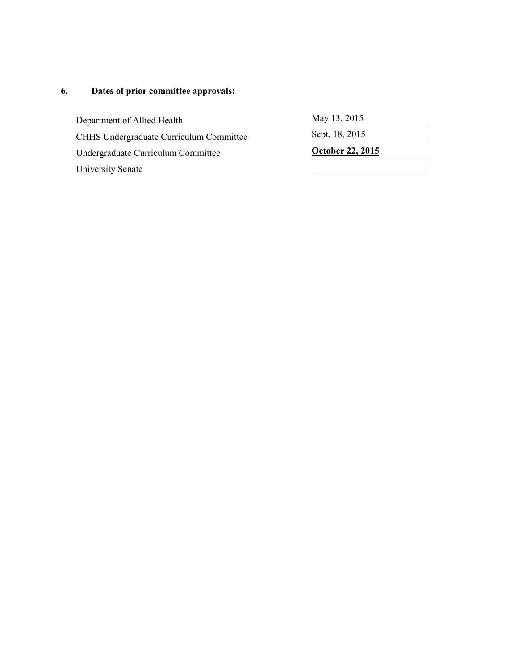# **6. Dates of prior committee approvals:**

Department of Allied Health May 13, 2015 CHHS Undergraduate Curriculum Committee Sept. 18, 2015 Undergraduate Curriculum Committee **October 22, 2015** University Senate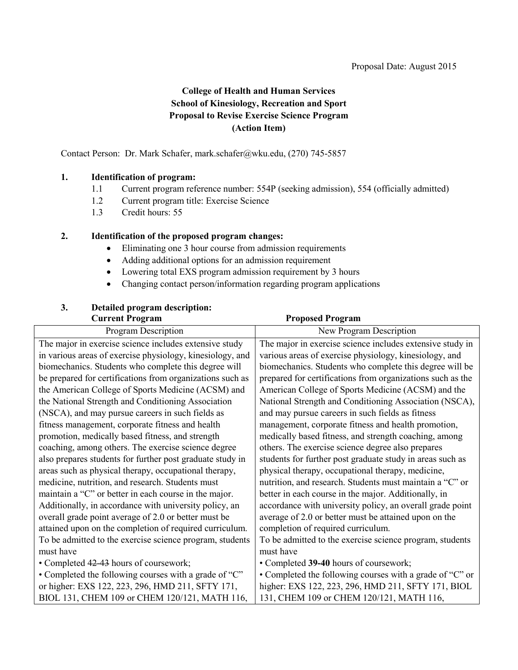## **College of Health and Human Services School of Kinesiology, Recreation and Sport Proposal to Revise Exercise Science Program (Action Item)**

<span id="page-25-0"></span>Contact Person: Dr. Mark Schafer, mark.schafer@wku.edu, (270) 745-5857

#### **1. Identification of program:**

- 1.1 Current program reference number: 554P (seeking admission), 554 (officially admitted)
- 1.2 Current program title: Exercise Science
- 1.3 Credit hours: 55

## **2. Identification of the proposed program changes:**

- Eliminating one 3 hour course from admission requirements
- Adding additional options for an admission requirement
- Lowering total EXS program admission requirement by 3 hours
- Changing contact person/information regarding program applications

## **3. Detailed program description:**

#### **Current Program Proposed Program** Program Description New Program Description The major in exercise science includes extensive study in various areas of exercise physiology, kinesiology, and biomechanics. Students who complete this degree will be prepared for certifications from organizations such as the American College of Sports Medicine (ACSM) and the National Strength and Conditioning Association (NSCA), and may pursue careers in such fields as fitness management, corporate fitness and health promotion, medically based fitness, and strength coaching, among others. The exercise science degree also prepares students for further post graduate study in areas such as physical therapy, occupational therapy, medicine, nutrition, and research. Students must maintain a "C" or better in each course in the major. Additionally, in accordance with university policy, an overall grade point average of 2.0 or better must be attained upon on the completion of required curriculum. To be admitted to the exercise science program, students must have • Completed 42-43 hours of coursework; • Completed the following courses with a grade of "C" or higher: EXS 122, 223, 296, HMD 211, SFTY 171, BIOL 131, CHEM 109 or CHEM 120/121, MATH 116, The major in exercise science includes extensive study in various areas of exercise physiology, kinesiology, and biomechanics. Students who complete this degree will be prepared for certifications from organizations such as the American College of Sports Medicine (ACSM) and the National Strength and Conditioning Association (NSCA), and may pursue careers in such fields as fitness management, corporate fitness and health promotion, medically based fitness, and strength coaching, among others. The exercise science degree also prepares students for further post graduate study in areas such as physical therapy, occupational therapy, medicine, nutrition, and research. Students must maintain a "C" or better in each course in the major. Additionally, in accordance with university policy, an overall grade point average of 2.0 or better must be attained upon on the completion of required curriculum. To be admitted to the exercise science program, students must have • Completed **39-40** hours of coursework; • Completed the following courses with a grade of "C" or higher: EXS 122, 223, 296, HMD 211, SFTY 171, BIOL 131, CHEM 109 or CHEM 120/121, MATH 116,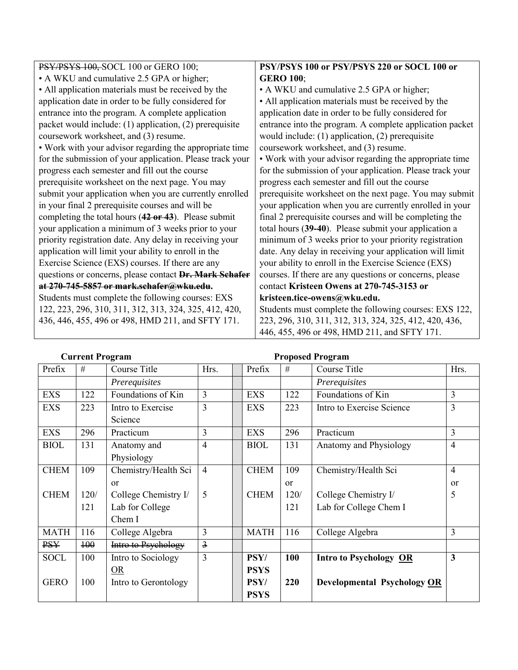| PSY/PSYS 100, SOCL 100 or GERO 100;                              | PSY/PSYS 100 or PSY/PSYS 220 or SOCL 100 or               |
|------------------------------------------------------------------|-----------------------------------------------------------|
| • A WKU and cumulative 2.5 GPA or higher;                        | <b>GERO 100;</b>                                          |
| • All application materials must be received by the              | • A WKU and cumulative 2.5 GPA or higher;                 |
| application date in order to be fully considered for             | • All application materials must be received by the       |
| entrance into the program. A complete application                | application date in order to be fully considered for      |
| packet would include: (1) application, (2) prerequisite          | entrance into the program. A complete application packet  |
| coursework worksheet, and (3) resume.                            | would include: $(1)$ application, $(2)$ prerequisite      |
| • Work with your advisor regarding the appropriate time          | coursework worksheet, and (3) resume.                     |
| for the submission of your application. Please track your        | • Work with your advisor regarding the appropriate time   |
| progress each semester and fill out the course                   | for the submission of your application. Please track your |
| prerequisite worksheet on the next page. You may                 | progress each semester and fill out the course            |
| submit your application when you are currently enrolled          | prerequisite worksheet on the next page. You may submit   |
| in your final 2 prerequisite courses and will be                 | your application when you are currently enrolled in your  |
| completing the total hours $(42 \text{ or } 43)$ . Please submit | final 2 prerequisite courses and will be completing the   |
| your application a minimum of 3 weeks prior to your              | total hours (39-40). Please submit your application a     |
| priority registration date. Any delay in receiving your          | minimum of 3 weeks prior to your priority registration    |
| application will limit your ability to enroll in the             | date. Any delay in receiving your application will limit  |
| Exercise Science (EXS) courses. If there are any                 | your ability to enroll in the Exercise Science (EXS)      |
| questions or concerns, please contact Dr. Mark Schafer           | courses. If there are any questions or concerns, please   |
| at 270-745-5857 or mark.schafer@wku.edu.                         | contact Kristeen Owens at 270-745-3153 or                 |
| Students must complete the following courses: EXS                | kristeen.tice-owens@wku.edu.                              |
| 122, 223, 296, 310, 311, 312, 313, 324, 325, 412, 420,           | Students must complete the following courses: EXS 122,    |
| 436, 446, 455, 496 or 498, HMD 211, and SFTY 171.                | 223, 296, 310, 311, 312, 313, 324, 325, 412, 420, 436,    |
|                                                                  | 446, 455, 496 or 498, HMD 211, and SFTY 171.              |

**Current Program Proposed Program**

| Prefix      | #    | Course Title         | Hrs.           |  | Prefix      | $\#$          | Course Title                       | Hrs.           |
|-------------|------|----------------------|----------------|--|-------------|---------------|------------------------------------|----------------|
|             |      | Prerequisites        |                |  |             |               | Prerequisites                      |                |
| <b>EXS</b>  | 122  | Foundations of Kin   | 3              |  | <b>EXS</b>  | 122           | Foundations of Kin                 | $\overline{3}$ |
| <b>EXS</b>  | 223  | Intro to Exercise    | 3              |  | <b>EXS</b>  | 223           | Intro to Exercise Science          | $\overline{3}$ |
|             |      | Science              |                |  |             |               |                                    |                |
| <b>EXS</b>  | 296  | Practicum            | 3              |  | <b>EXS</b>  | 296           | Practicum                          | 3              |
| <b>BIOL</b> | 131  | Anatomy and          | $\overline{4}$ |  | <b>BIOL</b> | 131           | Anatomy and Physiology             | $\overline{4}$ |
|             |      | Physiology           |                |  |             |               |                                    |                |
| <b>CHEM</b> | 109  | Chemistry/Health Sci | $\overline{4}$ |  | <b>CHEM</b> | 109           | Chemistry/Health Sci               | $\overline{4}$ |
|             |      | <sub>or</sub>        |                |  |             | <sub>or</sub> |                                    | <sub>or</sub>  |
| <b>CHEM</b> | 120/ | College Chemistry I/ | 5              |  | <b>CHEM</b> | 120/          | College Chemistry I/               | 5              |
|             | 121  | Lab for College      |                |  |             | 121           | Lab for College Chem I             |                |
|             |      | Chem I               |                |  |             |               |                                    |                |
| <b>MATH</b> | 116  | College Algebra      | 3              |  | <b>MATH</b> | 116           | College Algebra                    | 3              |
| <b>PSY</b>  | 100  | Intro to Psychology  | $\overline{3}$ |  |             |               |                                    |                |
| <b>SOCL</b> | 100  | Intro to Sociology   | $\overline{3}$ |  | PSY/        | 100           | <b>Intro to Psychology OR</b>      | 3              |
|             |      | OR                   |                |  | <b>PSYS</b> |               |                                    |                |
| <b>GERO</b> | 100  | Intro to Gerontology |                |  | PSY/        | 220           | <b>Developmental Psychology OR</b> |                |
|             |      |                      |                |  | <b>PSYS</b> |               |                                    |                |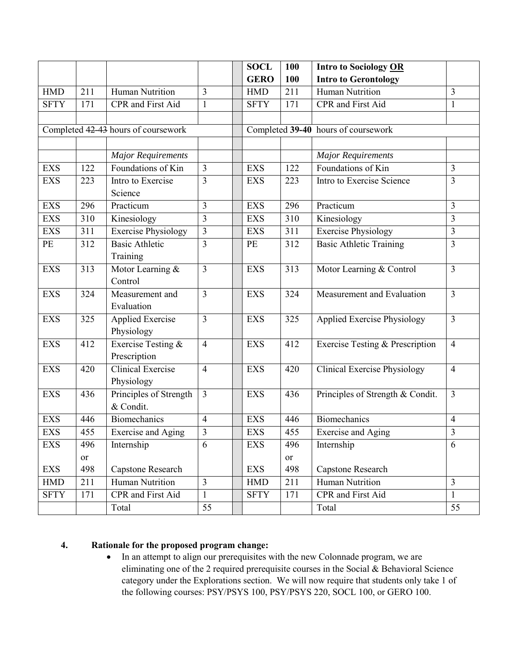|             |     |                                     |                         | <b>SOCL</b> | 100       | <b>Intro to Sociology OR</b>               |                |
|-------------|-----|-------------------------------------|-------------------------|-------------|-----------|--------------------------------------------|----------------|
|             |     |                                     |                         | <b>GERO</b> | 100       | <b>Intro to Gerontology</b>                |                |
| <b>HMD</b>  | 211 | <b>Human Nutrition</b>              | 3                       | <b>HMD</b>  | 211       | Human Nutrition                            | 3              |
| <b>SFTY</b> | 171 | CPR and First Aid                   | $\mathbf{1}$            | <b>SFTY</b> | 171       | CPR and First Aid                          | 1              |
|             |     |                                     |                         |             |           |                                            |                |
|             |     | Completed 42-43 hours of coursework |                         |             |           | Completed 39-40 hours of coursework        |                |
|             |     |                                     |                         |             |           |                                            |                |
|             |     | <b>Major Requirements</b>           |                         |             |           | <b>Major Requirements</b>                  |                |
| <b>EXS</b>  | 122 | Foundations of Kin                  | 3                       | <b>EXS</b>  | 122       | Foundations of Kin                         | $\overline{3}$ |
| <b>EXS</b>  | 223 | Intro to Exercise                   | 3                       | <b>EXS</b>  | 223       | Intro to Exercise Science                  | $\overline{3}$ |
|             |     | Science                             |                         |             |           |                                            |                |
| <b>EXS</b>  | 296 | Practicum                           | 3                       | <b>EXS</b>  | 296       | Practicum                                  | $\overline{3}$ |
| <b>EXS</b>  | 310 | Kinesiology                         | 3                       | <b>EXS</b>  | 310       | Kinesiology                                | $\overline{3}$ |
| <b>EXS</b>  | 311 | <b>Exercise Physiology</b>          | $\overline{\mathbf{3}}$ | <b>EXS</b>  | 311       | <b>Exercise Physiology</b>                 | $\overline{3}$ |
| PE          | 312 | <b>Basic Athletic</b>               | 3                       | PE          | 312       | <b>Basic Athletic Training</b>             | $\overline{3}$ |
|             |     | Training                            |                         |             |           |                                            |                |
| <b>EXS</b>  | 313 | Motor Learning &                    | 3                       | <b>EXS</b>  | 313       | Motor Learning & Control                   | $\overline{3}$ |
|             |     | Control                             |                         |             |           |                                            |                |
| <b>EXS</b>  | 324 | Measurement and                     | 3                       | <b>EXS</b>  | 324       | Measurement and Evaluation                 | $\overline{3}$ |
|             |     | Evaluation                          |                         |             |           |                                            |                |
| <b>EXS</b>  | 325 | <b>Applied Exercise</b>             | 3                       | <b>EXS</b>  | 325       | <b>Applied Exercise Physiology</b>         | $\overline{3}$ |
|             |     | Physiology                          |                         |             |           |                                            |                |
| <b>EXS</b>  | 412 | Exercise Testing &                  | $\overline{4}$          | <b>EXS</b>  | 412       | <b>Exercise Testing &amp; Prescription</b> | $\overline{4}$ |
|             |     | Prescription                        |                         |             |           |                                            |                |
| <b>EXS</b>  | 420 | <b>Clinical Exercise</b>            | $\overline{4}$          | <b>EXS</b>  | 420       | <b>Clinical Exercise Physiology</b>        | $\overline{4}$ |
|             |     | Physiology                          |                         |             |           |                                            |                |
| <b>EXS</b>  | 436 | Principles of Strength              | 3                       | <b>EXS</b>  | 436       | Principles of Strength & Condit.           | $\overline{3}$ |
|             |     | & Condit.                           |                         |             |           |                                            |                |
| <b>EXS</b>  | 446 | <b>Biomechanics</b>                 | $\overline{4}$          | <b>EXS</b>  | 446       | <b>Biomechanics</b>                        | $\overline{4}$ |
| <b>EXS</b>  | 455 | <b>Exercise and Aging</b>           | 3                       | <b>EXS</b>  | 455       | Exercise and Aging                         | $\mathfrak{Z}$ |
| <b>EXS</b>  | 496 | Internship                          | 6                       | <b>EXS</b>  | 496       | Internship                                 | 6              |
|             | or  |                                     |                         |             | <b>or</b> |                                            |                |
| <b>EXS</b>  | 498 | Capstone Research                   |                         | <b>EXS</b>  | 498       | Capstone Research                          |                |
| <b>HMD</b>  | 211 | Human Nutrition                     | 3                       | <b>HMD</b>  | 211       | Human Nutrition                            | $\mathfrak{Z}$ |
| <b>SFTY</b> | 171 | <b>CPR</b> and First Aid            | $\mathbf{1}$            | <b>SFTY</b> | 171       | CPR and First Aid                          | $\mathbf{1}$   |
|             |     | Total                               | 55                      |             |           | Total                                      | 55             |

## **4. Rationale for the proposed program change:**

• In an attempt to align our prerequisites with the new Colonnade program, we are eliminating one of the 2 required prerequisite courses in the Social & Behavioral Science category under the Explorations section. We will now require that students only take 1 of the following courses: PSY/PSYS 100, PSY/PSYS 220, SOCL 100, or GERO 100.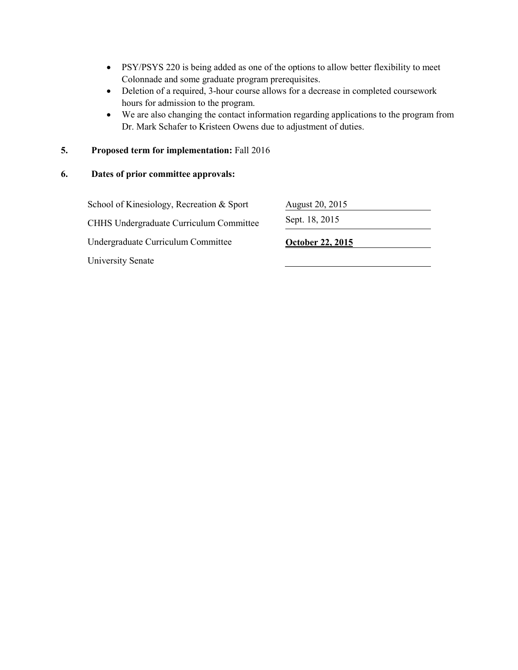- PSY/PSYS 220 is being added as one of the options to allow better flexibility to meet Colonnade and some graduate program prerequisites.
- Deletion of a required, 3-hour course allows for a decrease in completed coursework hours for admission to the program.
- We are also changing the contact information regarding applications to the program from Dr. Mark Schafer to Kristeen Owens due to adjustment of duties.

#### **5. Proposed term for implementation:** Fall 2016

#### **6. Dates of prior committee approvals:**

School of Kinesiology, Recreation & Sport August 20, 2015 CHHS Undergraduate Curriculum Committee Sept. 18, 2015 Undergraduate Curriculum Committee **October 22, 2015** University Senate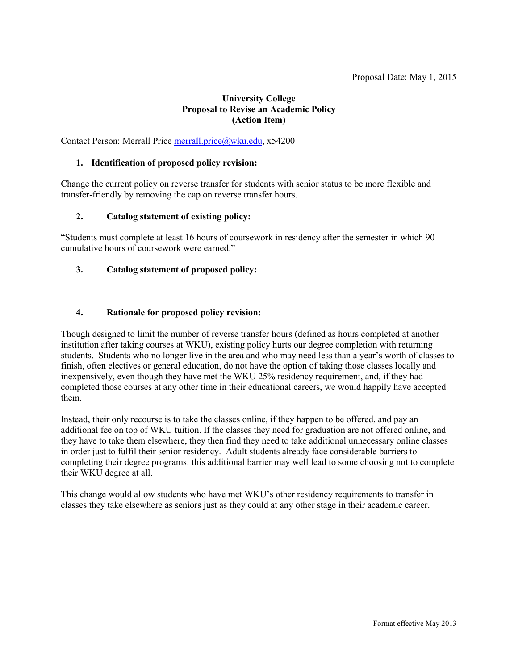## **University College Proposal to Revise an Academic Policy (Action Item)**

<span id="page-29-0"></span>Contact Person: Merrall Price [merrall.price@wku.edu,](mailto:merrall.price@wku.edu) x54200

#### **1. Identification of proposed policy revision:**

Change the current policy on reverse transfer for students with senior status to be more flexible and transfer-friendly by removing the cap on reverse transfer hours.

#### **2. Catalog statement of existing policy:**

"Students must complete at least 16 hours of coursework in residency after the semester in which 90 cumulative hours of coursework were earned."

## **3. Catalog statement of proposed policy:**

#### **4. Rationale for proposed policy revision:**

Though designed to limit the number of reverse transfer hours (defined as hours completed at another institution after taking courses at WKU), existing policy hurts our degree completion with returning students. Students who no longer live in the area and who may need less than a year's worth of classes to finish, often electives or general education, do not have the option of taking those classes locally and inexpensively, even though they have met the WKU 25% residency requirement, and, if they had completed those courses at any other time in their educational careers, we would happily have accepted them.

Instead, their only recourse is to take the classes online, if they happen to be offered, and pay an additional fee on top of WKU tuition. If the classes they need for graduation are not offered online, and they have to take them elsewhere, they then find they need to take additional unnecessary online classes in order just to fulfil their senior residency. Adult students already face considerable barriers to completing their degree programs: this additional barrier may well lead to some choosing not to complete their WKU degree at all.

This change would allow students who have met WKU's other residency requirements to transfer in classes they take elsewhere as seniors just as they could at any other stage in their academic career.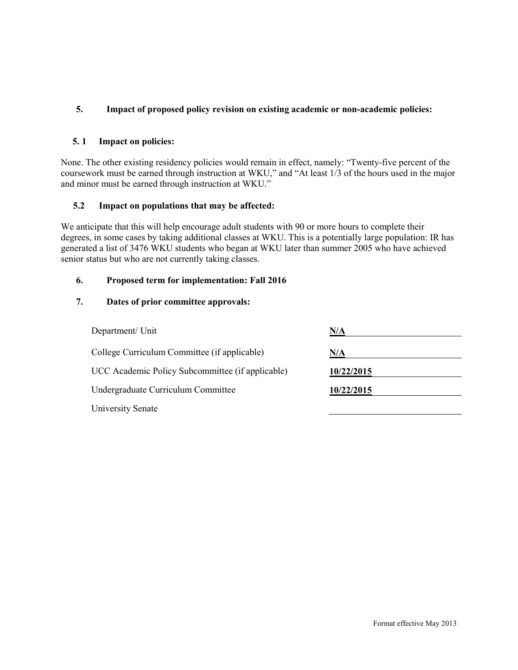## **5. Impact of proposed policy revision on existing academic or non-academic policies:**

#### **5. 1 Impact on policies:**

None. The other existing residency policies would remain in effect, namely: "Twenty-five percent of the coursework must be earned through instruction at WKU," and "At least 1/3 of the hours used in the major and minor must be earned through instruction at WKU."

#### **5.2 Impact on populations that may be affected:**

We anticipate that this will help encourage adult students with 90 or more hours to complete their degrees, in some cases by taking additional classes at WKU. This is a potentially large population: IR has generated a list of 3476 WKU students who began at WKU later than summer 2005 who have achieved senior status but who are not currently taking classes.

#### **6. Proposed term for implementation: Fall 2016**

## **7. Dates of prior committee approvals:**

| Department/ Unit                                 | N/A        |
|--------------------------------------------------|------------|
| College Curriculum Committee (if applicable)     | N/A        |
| UCC Academic Policy Subcommittee (if applicable) | 10/22/2015 |
| Undergraduate Curriculum Committee               | 10/22/2015 |
| <b>University Senate</b>                         |            |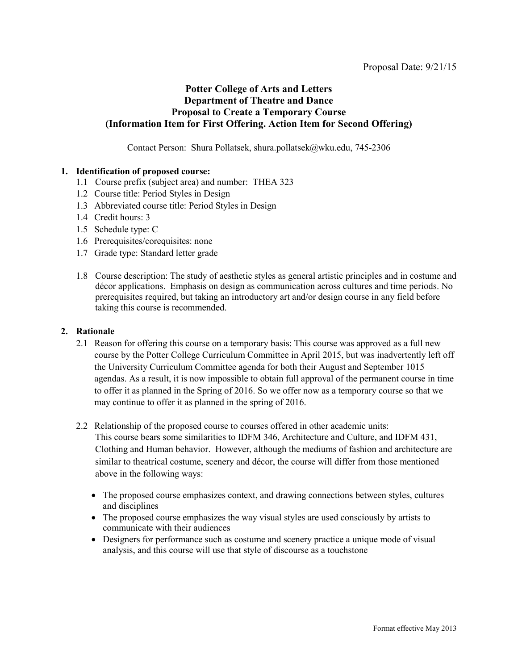## <span id="page-31-0"></span>**Potter College of Arts and Letters Department of Theatre and Dance Proposal to Create a Temporary Course (Information Item for First Offering. Action Item for Second Offering)**

Contact Person: Shura Pollatsek, shura.pollatsek@wku.edu, 745-2306

#### **1. Identification of proposed course:**

- 1.1 Course prefix (subject area) and number: THEA 323
- 1.2 Course title: Period Styles in Design
- 1.3 Abbreviated course title: Period Styles in Design
- 1.4 Credit hours: 3
- 1.5 Schedule type: C
- 1.6 Prerequisites/corequisites: none
- 1.7 Grade type: Standard letter grade
- 1.8 Course description: The study of aesthetic styles as general artistic principles and in costume and décor applications. Emphasis on design as communication across cultures and time periods. No prerequisites required, but taking an introductory art and/or design course in any field before taking this course is recommended.

#### **2. Rationale**

- 2.1 Reason for offering this course on a temporary basis: This course was approved as a full new course by the Potter College Curriculum Committee in April 2015, but was inadvertently left off the University Curriculum Committee agenda for both their August and September 1015 agendas. As a result, it is now impossible to obtain full approval of the permanent course in time to offer it as planned in the Spring of 2016. So we offer now as a temporary course so that we may continue to offer it as planned in the spring of 2016.
- 2.2 Relationship of the proposed course to courses offered in other academic units: This course bears some similarities to IDFM 346, Architecture and Culture, and IDFM 431, Clothing and Human behavior. However, although the mediums of fashion and architecture are similar to theatrical costume, scenery and décor, the course will differ from those mentioned above in the following ways:
	- The proposed course emphasizes context, and drawing connections between styles, cultures and disciplines
	- The proposed course emphasizes the way visual styles are used consciously by artists to communicate with their audiences
	- Designers for performance such as costume and scenery practice a unique mode of visual analysis, and this course will use that style of discourse as a touchstone